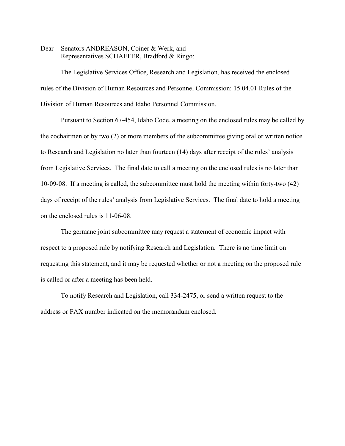Dear Senators ANDREASON, Coiner & Werk, and Representatives SCHAEFER, Bradford & Ringo:

The Legislative Services Office, Research and Legislation, has received the enclosed rules of the Division of Human Resources and Personnel Commission: 15.04.01 Rules of the Division of Human Resources and Idaho Personnel Commission.

Pursuant to Section 67-454, Idaho Code, a meeting on the enclosed rules may be called by the cochairmen or by two (2) or more members of the subcommittee giving oral or written notice to Research and Legislation no later than fourteen (14) days after receipt of the rules' analysis from Legislative Services. The final date to call a meeting on the enclosed rules is no later than 10-09-08. If a meeting is called, the subcommittee must hold the meeting within forty-two (42) days of receipt of the rules' analysis from Legislative Services. The final date to hold a meeting on the enclosed rules is 11-06-08.

The germane joint subcommittee may request a statement of economic impact with respect to a proposed rule by notifying Research and Legislation. There is no time limit on requesting this statement, and it may be requested whether or not a meeting on the proposed rule is called or after a meeting has been held.

To notify Research and Legislation, call 334-2475, or send a written request to the address or FAX number indicated on the memorandum enclosed.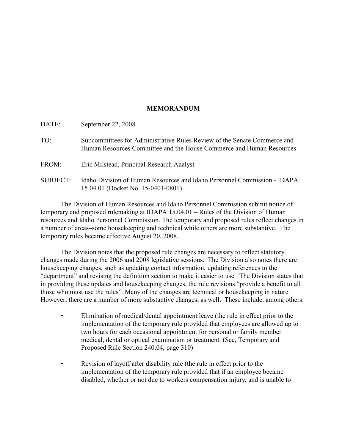# **MEMORANDUM**

| DATE:           | September 22, 2008                                                                                                                               |
|-----------------|--------------------------------------------------------------------------------------------------------------------------------------------------|
| TO:             | Subcommittees for Administrative Rules Review of the Senate Commerce and<br>Human Resources Committee and the House Commerce and Human Resources |
| FROM:           | Eric Milstead, Principal Research Analyst                                                                                                        |
| <b>SUBJECT:</b> | Idaho Division of Human Resources and Idaho Personnel Commission - IDAPA<br>15.04.01 (Docket No. 15-0401-0801)                                   |

The Division of Human Resources and Idaho Personnel Commission submit notice of temporary and proposed rulemaking at IDAPA 15.04.01 – Rules of the Division of Human resources and Idaho Personnel Commission. The temporary and proposed rules reflect changes in a number of areas–some housekeeping and technical while others are more substantive. The temporary rules became effective August 20, 2008.

The Division notes that the proposed rule changes are necessary to reflect statutory changes made during the 2006 and 2008 legislative sessions. The Division also notes there are housekeeping changes, such as updating contact information, updating references to the "department" and revising the definition section to make it easier to use. The Division states that in providing these updates and housekeeping changes, the rule revisions "provide a benefit to all those who must use the rules". Many of the changes are technical or housekeeping in nature. However, there are a number of more substantive changes, as well. These include, among others:

- Elimination of medical/dental appointment leave (the rule in effect prior to the implementation of the temporary rule provided that employees are allowed up to two hours for each occasional appointment for personal or family member medical, dental or optical examination or treatment. (See, Temporary and Proposed Rule Section 240.04, page 310)
- Revision of layoff after disability rule (the rule in effect prior to the implementation of the temporary rule provided that if an employee became disabled, whether or not due to workers compensation injury, and is unable to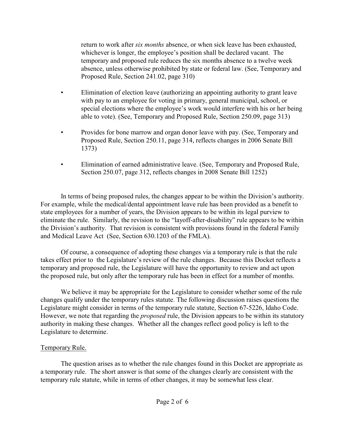return to work after *six months* absence, or when sick leave has been exhausted, whichever is longer, the employee's position shall be declared vacant. The temporary and proposed rule reduces the six months absence to a twelve week absence, unless otherwise prohibited by state or federal law. (See, Temporary and Proposed Rule, Section 241.02, page 310)

- Elimination of election leave (authorizing an appointing authority to grant leave with pay to an employee for voting in primary, general municipal, school, or special elections where the employee's work would interfere with his or her being able to vote). (See, Temporary and Proposed Rule, Section 250.09, page 313)
- Provides for bone marrow and organ donor leave with pay. (See, Temporary and Proposed Rule, Section 250.11, page 314, reflects changes in 2006 Senate Bill 1373)
- Elimination of earned administrative leave. (See, Temporary and Proposed Rule, Section 250.07, page 312, reflects changes in 2008 Senate Bill 1252)

In terms of being proposed rules, the changes appear to be within the Division's authority. For example, while the medical/dental appointment leave rule has been provided as a benefit to state employees for a number of years, the Division appears to be within its legal purview to eliminate the rule. Similarly, the revision to the "layoff-after-disability" rule appears to be within the Division's authority. That revision is consistent with provisions found in the federal Family and Medical Leave Act (See, Section 630.1203 of the FMLA).

Of course, a consequence of adopting these changes via a temporary rule is that the rule takes effect prior to the Legislature's review of the rule changes. Because this Docket reflects a temporary and proposed rule, the Legislature will have the opportunity to review and act upon the proposed rule, but only after the temporary rule has been in effect for a number of months.

We believe it may be appropriate for the Legislature to consider whether some of the rule changes qualify under the temporary rules statute. The following discussion raises questions the Legislature might consider in terms of the temporary rule statute, Section 67-5226, Idaho Code. However, we note that regarding the *proposed* rule, the Division appears to be within its statutory authority in making these changes. Whether all the changes reflect good policy is left to the Legislature to determine.

# Temporary Rule.

The question arises as to whether the rule changes found in this Docket are appropriate as a temporary rule. The short answer is that some of the changes clearly are consistent with the temporary rule statute, while in terms of other changes, it may be somewhat less clear.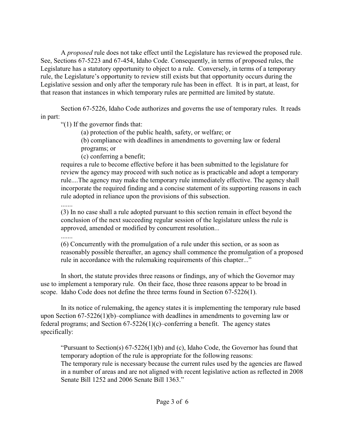A *proposed* rule does not take effect until the Legislature has reviewed the proposed rule. See, Sections 67-5223 and 67-454, Idaho Code. Consequently, in terms of proposed rules, the Legislature has a statutory opportunity to object to a rule. Conversely, in terms of a temporary rule, the Legislature's opportunity to review still exists but that opportunity occurs during the Legislative session and only after the temporary rule has been in effect. It is in part, at least, for that reason that instances in which temporary rules are permitted are limited by statute.

Section 67-5226, Idaho Code authorizes and governs the use of temporary rules. It reads in part:

"(1) If the governor finds that:

(a) protection of the public health, safety, or welfare; or

(b) compliance with deadlines in amendments to governing law or federal

programs; or

(c) conferring a benefit;

requires a rule to become effective before it has been submitted to the legislature for review the agency may proceed with such notice as is practicable and adopt a temporary rule....The agency may make the temporary rule immediately effective. The agency shall incorporate the required finding and a concise statement of its supporting reasons in each rule adopted in reliance upon the provisions of this subsection.

.......

(3) In no case shall a rule adopted pursuant to this section remain in effect beyond the conclusion of the next succeeding regular session of the legislature unless the rule is approved, amended or modified by concurrent resolution...

.......

(6) Concurrently with the promulgation of a rule under this section, or as soon as reasonably possible thereafter, an agency shall commence the promulgation of a proposed rule in accordance with the rulemaking requirements of this chapter..."

In short, the statute provides three reasons or findings, any of which the Governor may use to implement a temporary rule. On their face, those three reasons appear to be broad in scope. Idaho Code does not define the three terms found in Section 67-5226(1).

In its notice of rulemaking, the agency states it is implementing the temporary rule based upon Section 67-5226(1)(b)–compliance with deadlines in amendments to governing law or federal programs; and Section 67-5226(1)(c)–conferring a benefit. The agency states specifically:

"Pursuant to Section(s) 67-5226(1)(b) and (c), Idaho Code, the Governor has found that temporary adoption of the rule is appropriate for the following reasons: The temporary rule is necessary because the current rules used by the agencies are flawed in a number of areas and are not aligned with recent legislative action as reflected in 2008 Senate Bill 1252 and 2006 Senate Bill 1363."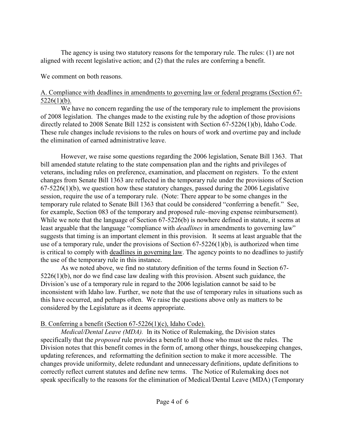The agency is using two statutory reasons for the temporary rule. The rules: (1) are not aligned with recent legislative action; and (2) that the rules are conferring a benefit.

We comment on both reasons.

# A. Compliance with deadlines in amendments to governing law or federal programs (Section 67-  $5226(1)(b)$ .

 We have no concern regarding the use of the temporary rule to implement the provisions of 2008 legislation. The changes made to the existing rule by the adoption of those provisions directly related to 2008 Senate Bill 1252 is consistent with Section 67-5226(1)(b), Idaho Code. These rule changes include revisions to the rules on hours of work and overtime pay and include the elimination of earned administrative leave.

However, we raise some questions regarding the 2006 legislation, Senate Bill 1363. That bill amended statute relating to the state compensation plan and the rights and privileges of veterans, including rules on preference, examination, and placement on registers. To the extent changes from Senate Bill 1363 are reflected in the temporary rule under the provisions of Section 67-5226(1)(b), we question how these statutory changes, passed during the 2006 Legislative session, require the use of a temporary rule. (Note: There appear to be some changes in the temporary rule related to Senate Bill 1363 that could be considered "conferring a benefit." See, for example, Section 083 of the temporary and proposed rule–moving expense reimbursement). While we note that the language of Section 67-5226(b) is nowhere defined in statute, it seems at least arguable that the language "compliance with *deadlines* in amendments to governing law" suggests that timing is an important element in this provision. It seems at least arguable that the use of a temporary rule, under the provisions of Section 67-5226(1)(b), is authorized when time is critical to comply with deadlines in governing law. The agency points to no deadlines to justify the use of the temporary rule in this instance.

As we noted above, we find no statutory definition of the terms found in Section 67- 5226(1)(b), nor do we find case law dealing with this provision. Absent such guidance, the Division's use of a temporary rule in regard to the 2006 legislation cannot be said to be inconsistent with Idaho law. Further, we note that the use of temporary rules in situations such as this have occurred, and perhaps often. We raise the questions above only as matters to be considered by the Legislature as it deems appropriate.

# B. Conferring a benefit (Section 67-5226(1)(c), Idaho Code).

*Medical/Dental Leave (MDA).* In its Notice of Rulemaking, the Division states specifically that the *proposed* rule provides a benefit to all those who must use the rules. The Division notes that this benefit comes in the form of, among other things, housekeeping changes, updating references, and reformatting the definition section to make it more accessible. The changes provide uniformity, delete redundant and unnecessary definitions, update definitions to correctly reflect current statutes and define new terms. The Notice of Rulemaking does not speak specifically to the reasons for the elimination of Medical/Dental Leave (MDA) (Temporary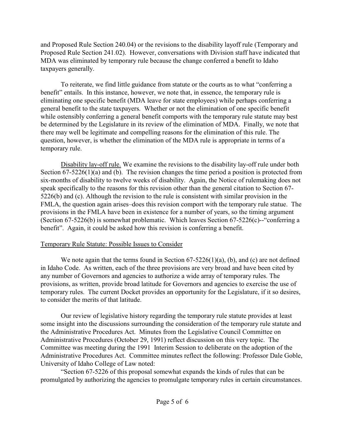and Proposed Rule Section 240.04) or the revisions to the disability layoff rule (Temporary and Proposed Rule Section 241.02). However, conversations with Division staff have indicated that MDA was eliminated by temporary rule because the change conferred a benefit to Idaho taxpayers generally.

To reiterate, we find little guidance from statute or the courts as to what "conferring a benefit" entails. In this instance, however, we note that, in essence, the temporary rule is eliminating one specific benefit (MDA leave for state employees) while perhaps conferring a general benefit to the state taxpayers. Whether or not the elimination of one specific benefit while ostensibly conferring a general benefit comports with the temporary rule statute may best be determined by the Legislature in its review of the elimination of MDA. Finally, we note that there may well be legitimate and compelling reasons for the elimination of this rule. The question, however, is whether the elimination of the MDA rule is appropriate in terms of a temporary rule.

Disability lay-off rule. We examine the revisions to the disability lay-off rule under both Section 67-5226(1)(a) and (b). The revision changes the time period a position is protected from six-months of disability to twelve weeks of disability. Again, the Notice of rulemaking does not speak specifically to the reasons for this revision other than the general citation to Section 67- 5226(b) and (c). Although the revision to the rule is consistent with similar provision in the FMLA, the question again arises–does this revision comport with the temporary rule statue. The provisions in the FMLA have been in existence for a number of years, so the timing argument (Section 67-5226(b) is somewhat problematic. Which leaves Section 67-5226(c)--"conferring a benefit". Again, it could be asked how this revision is conferring a benefit.

# Temporary Rule Statute: Possible Issues to Consider

We note again that the terms found in Section 67-5226(1)(a), (b), and (c) are not defined in Idaho Code. As written, each of the three provisions are very broad and have been cited by any number of Governors and agencies to authorize a wide array of temporary rules. The provisions, as written, provide broad latitude for Governors and agencies to exercise the use of temporary rules. The current Docket provides an opportunity for the Legislature, if it so desires, to consider the merits of that latitude.

Our review of legislative history regarding the temporary rule statute provides at least some insight into the discussions surrounding the consideration of the temporary rule statute and the Administrative Procedures Act. Minutes from the Legislative Council Committee on Administrative Procedures (October 29, 1991) reflect discussion on this very topic. The Committee was meeting during the 1991 Interim Session to deliberate on the adoption of the Administrative Procedures Act. Committee minutes reflect the following: Professor Dale Goble, University of Idaho College of Law noted:

"Section 67-5226 of this proposal somewhat expands the kinds of rules that can be promulgated by authorizing the agencies to promulgate temporary rules in certain circumstances.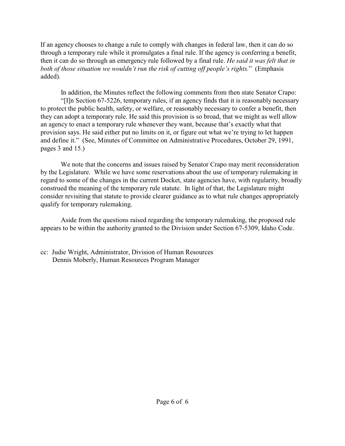If an agency chooses to change a rule to comply with changes in federal law, then it can do so through a temporary rule while it promulgates a final rule. If the agency is conferring a benefit, then it can do so through an emergency rule followed by a final rule. *He said it was felt that in both of those situation we wouldn't run the risk of cutting off people's rights.*" (Emphasis added).

In addition, the Minutes reflect the following comments from then state Senator Crapo: "[I]n Section 67-5226, temporary rules, if an agency finds that it is reasonably necessary to protect the public health, safety, or welfare, or reasonably necessary to confer a benefit, then they can adopt a temporary rule. He said this provision is so broad, that we might as well allow an agency to enact a temporary rule whenever they want, because that's exactly what that provision says. He said either put no limits on it, or figure out what we're trying to let happen and define it." (See, Minutes of Committee on Administrative Procedures, October 29, 1991, pages 3 and 15.)

We note that the concerns and issues raised by Senator Crapo may merit reconsideration by the Legislature. While we have some reservations about the use of temporary rulemaking in regard to some of the changes in the current Docket, state agencies have, with regularity, broadly construed the meaning of the temporary rule statute. In light of that, the Legislature might consider revisiting that statute to provide clearer guidance as to what rule changes appropriately qualify for temporary rulemaking.

Aside from the questions raised regarding the temporary rulemaking, the proposed rule appears to be within the authority granted to the Division under Section 67-5309, Idaho Code.

cc: Judie Wright, Administrator, Division of Human Resources Dennis Moberly, Human Resources Program Manager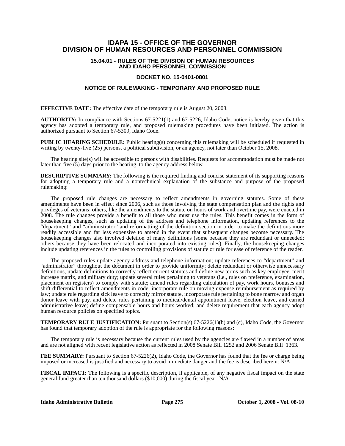# **IDAPA 15 - OFFICE OF THE GOVERNOR DIVISION OF HUMAN RESOURCES AND PERSONNEL COMMISSION**

# **15.04.01 - RULES OF THE DIVISION OF HUMAN RESOURCES AND IDAHO PERSONNEL COMMISSION**

# **DOCKET NO. 15-0401-0801**

# **NOTICE OF RULEMAKING - TEMPORARY AND PROPOSED RULE**

**EFFECTIVE DATE:** The effective date of the temporary rule is August 20, 2008.

**AUTHORITY:** In compliance with Sections 67-5221(1) and 67-5226, Idaho Code, notice is hereby given that this agency has adopted a temporary rule, and proposed rulemaking procedures have been initiated. The action is authorized pursuant to Section 67-5309, Idaho Code.

**PUBLIC HEARING SCHEDULE:** Public hearing(s) concerning this rulemaking will be scheduled if requested in writing by twenty-five (25) persons, a political subdivision, or an agency, not later than October 15, 2008.

The hearing site(s) will be accessible to persons with disabilities. Requests for accommodation must be made not later than five (5) days prior to the hearing, to the agency address below.

**DESCRIPTIVE SUMMARY:** The following is the required finding and concise statement of its supporting reasons for adopting a temporary rule and a nontechnical explanation of the substance and purpose of the proposed rulemaking:

The proposed rule changes are necessary to reflect amendments in governing statutes. Some of these amendments have been in effect since 2006, such as those involving the state compensation plan and the rights and privileges of veterans; others, like the amendments to the statute on hours of work and overtime pay, were enacted in 2008. The rule changes provide a benefit to all those who must use the rules. This benefit comes in the form of housekeeping changes, such as updating of the address and telephone information, updating references to the "department" and "administrator" and reformatting of the definition section in order to make the definitions more readily accessible and far less expensive to amend in the event that subsequent changes become necessary. The housekeeping changes also involved deletion of many definitions (some because they are redundant or unneeded; others because they have been relocated and incorporated into existing rules). Finally, the housekeeping changes include updating references in the rules to controlling provisions of statute or rule for ease of reference of the reader.

The proposed rules update agency address and telephone information; update references to "department" and "administrator" throughout the document in order to provide uniformity; delete redundant or otherwise unnecessary definitions, update definitions to correctly reflect current statutes and define new terms such as key employee, merit increase matrix, and military duty; update several rules pertaining to veterans (i.e., rules on preference, examination, placement on registers) to comply with statute; amend rules regarding calculation of pay, work hours, bonuses and shift differential to reflect amendments in code; incorporate rule on moving expense reimbursement as required by law; update rule regarding sick leave to correctly mirror statute, incorporate rule pertaining to bone marrow and organ donor leave with pay, and delete rules pertaining to medical/dental appointment leave, election leave, and earned administrative leave; define compensable hours and hours worked; and delete requirement that each agency adopt human resource policies on specified topics.

**TEMPORARY RULE JUSTIFICATION:** Pursuant to Section(s) 67-5226(1)(b) and (c), Idaho Code, the Governor has found that temporary adoption of the rule is appropriate for the following reasons:

The temporary rule is necessary because the current rules used by the agencies are flawed in a number of areas and are not aligned with recent legislative action as reflected in 2008 Senate Bill 1252 and 2006 Senate Bill 1363.

FEE SUMMARY: Pursuant to Section 67-5226(2), Idaho Code, the Governor has found that the fee or charge being imposed or increased is justified and necessary to avoid immediate danger and the fee is described herein: N/A

**FISCAL IMPACT:** The following is a specific description, if applicable, of any negative fiscal impact on the state general fund greater than ten thousand dollars (\$10,000) during the fiscal year: N/A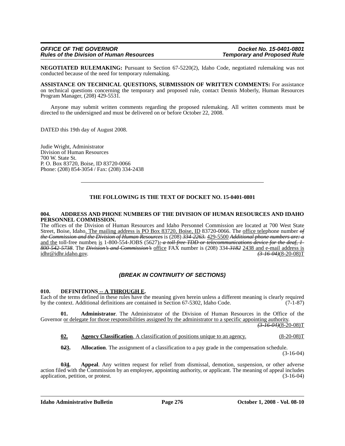**NEGOTIATED RULEMAKING:** Pursuant to Section 67-5220(2), Idaho Code, negotiated rulemaking was not conducted because of the need for temporary rulemaking.

**ASSISTANCE ON TECHNICAL QUESTIONS, SUBMISSION OF WRITTEN COMMENTS:** For assistance on technical questions concerning the temporary and proposed rule, contact Dennis Moberly, Human Resources Program Manager, (208) 429-5531*.*

Anyone may submit written comments regarding the proposed rulemaking. All written comments must be directed to the undersigned and must be delivered on or before October 22, 2008.

DATED this 19th day of August 2008.

Judie Wright, Administrator Division of Human Resources 700 W. State St. P. O. Box 83720, Boise, ID 83720-0066 Phone: (208) 854-3054 / Fax: (208) 334-2438

# **THE FOLLOWING IS THE TEXT OF DOCKET NO. 15-0401-0801**

#### **004. ADDRESS AND PHONE NUMBERS OF THE DIVISION OF HUMAN RESOURCES AND IDAHO PERSONNEL COMMISSION.**

The offices of the Division of Human Resources and Idaho Personnel Commission are located at 700 West State Street, Boise, Idaho<u>. The mailing address is PO Box 83720, Boise, ID</u> 83720-0066. The office telephone number of *the Commission and the Division of Human Resources* is (208) *334-2263.* 429-5500 *Additional phone numbers are: a* and the toll-free number*,* is 1-800-554-JOBS (5627)*; a toll-free TDD or telecommunications device for the deaf, 1- 800-542-5738*. The *Division's and Commission's* office FAX number is (208) 334-*3182* 2438 and e-mail address is  $idhr@idhr.idaho.gov.$ 

# *(BREAK IN CONTINUITY OF SECTIONS)*

**010. DEFINITIONS -- A THROUGH E.** Each of the terms defined in these rules have the meaning given herein unless a different meaning is clearly required in these rules have the meaning given herein unless a different mea by the context. Additional definitions are contained in Section 67-5302, Idaho Code. (7-1-87)

**01. Administrator**. The Administrator of the Division of Human Resources in the Office of the Governor or delegate for those responsibilities assigned by the administrator to a specific appointing authority.

*(3-16-04)*(8-20-08)T

**02. Agency Classification**. A classification of positions unique to an agency. (8-20-08)T

**023.** Allocation. The assignment of a classification to a pay grade in the compensation schedule. (3-16-04)

**0***3***4. Appeal**. Any written request for relief from dismissal, demotion, suspension, or other adverse action filed with the Commission by an employee, appointing authority, or applicant. The meaning of appeal includes application, petition, or protest. (3-16-04)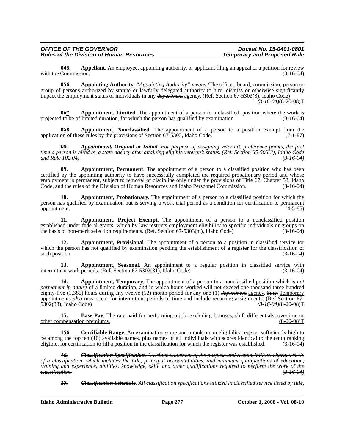**04<u>5</u>.** Appellant. An employee, appointing authority, or applicant filing an appeal or a petition for review Commission. with the Commission.

**0***5***6. Appointing Authority**. *"Appointing Authority" means t*The officer, board, commission, person or group of persons authorized by statute or lawfully delegated authority to hire, dismiss or otherwise significantly impact the employment status of individuals in any *department* agency. (Ref. Section 67-5302(3), Idaho Code) *(3-16-04)*(8-20-08)T

**0***6***7. Appointment, Limited**. The appointment of a person to a classified, position where the work is projected to be of limited duration, for which the person has qualified by examination. (3-16-04)

**0<del>78</del>.** Appointment, Nonclassified. The appointment of a person to a position exempt from the on of these rules by the provisions of Section 67-5303. Idaho Code. (7-1-87) application of these rules by the provisions of Section  $67-5303$ , Idaho Code.

*08. Appointment, Original or Initial. For purpose of assigning veteran's preference points, the first time a person is hired by a state agency after attaining eligible veteran's status. (Ref. Section 65-506(3), Idaho Code and Rule 102.04) (3-16-04)*

**09. Appointment, Permanent**. The appointment of a person to a classified position who has been certified by the appointing authority to have successfully completed the required probationary period and whose employment is permanent, subject to removal or discipline only under the provisions of Title 67, Chapter 53, Idaho<br>Code, and the rules of the Division of Human Resources and Idaho Personnel Commission. (3-16-04) Code, and the rules of the Division of Human Resources and Idaho Personnel Commission.

**10. Appointment, Probationary**. The appointment of a person to a classified position for which the person has qualified by examination but is serving a work trial period as a condition for certification to permanent appointment. (4-5-85)

**11. Appointment, Project Exempt**. The appointment of a person to a nonclassified position established under federal grants, which by law restricts employment eligibility to specific individuals or groups on the basis of non-merit selection requirements. (Ref. Section 67-5303(m), Idaho Code) (3-16-04)

**12. Appointment, Provisional**. The appointment of a person to a position in classified service for which the person has not qualified by examination pending the establishment of a register for the classification of such position. (3-16-04)

**13. Appointment, Seasonal**. An appointment to a regular position in classified service with ent work periods. (Ref. Section 67-5302(31). Idaho Code) (3-16-04) intermittent work periods. (Ref. Section  $67-5302(31)$ , Idaho Code)

**14. Appointment, Temporary**. The appointment of a person to a nonclassified position which is *not permanent in nature* of a limited duration, and in which hours worked will not exceed one thousand three hundred eighty-five (1,385) hours during any twelve (12) month period for any one (1) *department* agency. *Such* Temporary appointments *also* may occur for intermittent periods of time and include recurring assignments. (Ref Section 67- 5302(33), Idaho Code) *(3-16-04)*(8-20-08)T

**15. Base Pay**. The rate paid for performing a job, excluding bonuses, shift differentials, overtime or mpensation premiums. (8-20-08) other compensation premiums.

**1***5***6. Certifiable Range**. An examination score and a rank on an eligibility register sufficiently high to be among the top ten (10) available names, plus names of all individuals with scores identical to the tenth ranking eligible, for certification to fill a position in the classification for which the register was establishe eligible, for certification to fill a position in the classification for which the register was established.

*16. Classification Specification. A written statement of the purpose and responsibilities characteristic of a classification, which includes the title, principal accountabilities, and minimum qualifications of education, training and experience, abilities, knowledge, skill, and other qualifications required to perform the work of the classification. (3-16-04)*

*17. Classification Schedule. All classification specifications utilized in classified service listed by title,*

**Idaho Administrative Bulletin Page 277 October 1, 2008 - Vol. 08-10**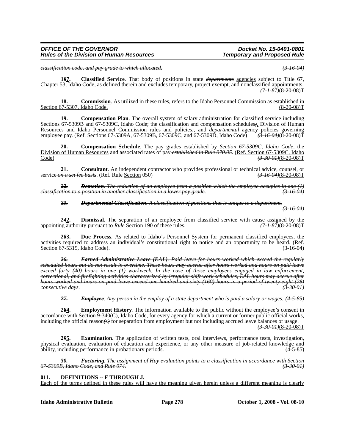*classification code, and pay grade to which allocated. (3-16-04)*

*Rules of the Division of Human Resources* 

**1***8***7. Classified Service**. That body of positions in state *departments* agencies subject to Title 67, Chapter 53, Idaho Code, as defined therein and excludes temporary, project exempt, and nonclassified appointments. *(7-1-87)*(8-20-08)T

**18. Commission**. As utilized in these rules, refers to the Idaho Personnel Commission as established in  $(8-20-08)T$ Section 67-5307, Idaho Code.

**19.** Compensation Plan. The overall system of salary administration for classified service including Sections 67-5309B and 67-5309C, Idaho Code; the classification and compensation schedules*;*, Division of Human Resources and Idaho Personnel Commission rules and policies*;*, and *departmental* agency policies governing employee pay. (Ref. Sections 67-5309A, 67-5309B, 67-5309C, and 67-5309D, Idaho Code) *(3-16-04)*(8-20-08)T

**20. Compensation Schedule**. The pay grades established by *Section 67-5309C, Idaho Code,* the Division of Human Resources and associated rates of pay *established in Rule 070.05*. (Ref. Section 67-5309C, Idaho Code) *(3-30-01)*(8-20-08)T

**21.** Consultant. An independent contractor who provides professional or technical advice, counsel, or  $m$  a set fee basis. (Ref. Rule Section 050)  $(3-16.04)(8-20.08)$ T service on a set fee basis. (Ref. Rule <u>Section</u> 050)

*22. Demotion. The reduction of an employee from a position which the employee occupies in one (1) classification to a position in another classification in a lower pay grade.* 

*23. Departmental Classification. A classification of positions that is unique to a department.*

*(3-16-04)*

**2***4***2. Dismissal**. The separation of an employee from classified service with cause assigned by the appointing authority pursuant to *Rule* Section 190 of these rules. *(7-1-87)*(8-20-08)T

**2***5***3. Due Process**. As related to Idaho's Personnel System for permanent classified employees, the activities required to address an individual's constitutional right to notice and an opportunity to be heard. (Ref. Section 67-5315, Idaho Code). (3-16-04)

*26. Earned Administrative Leave (EAL). Paid leave for hours worked which exceed the regularly scheduled hours but do not result in overtime. These hours may accrue after hours worked and hours on paid leave exceed forty (40) hours in one (1) workweek. In the case of those employees engaged in law enforcement, correctional, and firefighting activities characterized by irregular shift work schedules, EAL hours may accrue after hours worked and hours on paid leave exceed one hundred and sixty (160) hours in a period of twenty-eight (28)*  $consecutive$  days.

*27. Employee. Any person in the employ of a state department who is paid a salary or wages. (4-5-85)*

**2***8***4. Employment History**. The information available to the public without the employee's consent in accordance with Section 9-340(C), Idaho Code, for every agency for which a current or former public official works, including the official reason*(*s*)* for separation from employment but not including accrued leave balances or usage.

*(3-30-01)*(8-20-08)T

**2***9***5. Examination**. The application of written tests, oral interviews, performance tests, investigation, physical evaluation, evaluation of education and experience, or any other measure of job-related knowledge and ability, including performance in probationary periods. (4-5-85)

*30. Factoring. The assignment of Hay evaluation points to a classification in accordance with Section 67-5309B, Idaho Code, and Rule 074. (3-30-01)*

#### **011. DEFINITIONS -- F THROUGH J.**

Each of the terms defined in these rules will have the meaning given herein unless a different meaning is clearly

**Idaho Administrative Bulletin Page 278 October 1, 2008 - Vol. 08-10**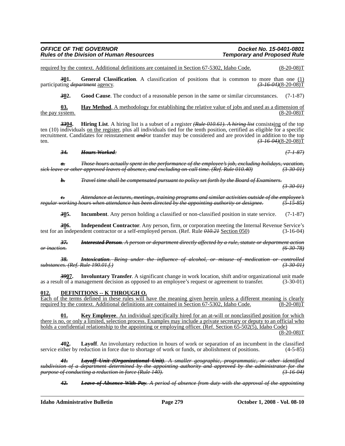#### *OFFICE OF THE GOVERNOR Docket No. 15-0401-0801 Rules of the Division of Human Resources*

required by the context. Additional definitions are contained in Section 67-5302, Idaho Code. (8-20-08)T

**301.** General Classification. A classification of positions that is common to more than one (1)  $\frac{(1)}{(3-16-04)(8-20-08)}$ participating *department* agency.

*3***02. Good Cause**. The conduct of a reasonable person in the same or similar circumstances. (7-1-87)

**03. Hay Method**. A methodology for establishing the relative value of jobs and used as a dimension of the pay system.  $(8-20-08)T$ 

*33***04. Hiring List**. A hiring list is a subset of a register *(Rule 010.61). A hiring list* consist*s*ing of the top ten (10) individuals on the register, plus all individuals tied for the tenth position, certified as eligible for a specific recruitment. Candidates for reinstatement *and/*or transfer may be considered and are provided in addition to the top ten. *(3-16-04)*(8-20-08)T

#### *34. Hours Worked: (7-1-87)*

*a. Those hours actually spent in the performance of the employee's job, excluding holidays, vacation, sick leave or other approved leaves of absence, and excluding on-call time. (Ref. Rule 010.40) (3-30-01)*

*b. Travel time shall be compensated pursuant to policy set forth by the Board of Examiners. (3-30-01)*

*c. Attendance at lectures, meetings, training programs and similar activities outside of the employee's regular working hours when attendance has been directed by the appointing authority or designee. (5-15-85)*

**305.** Incumbent. Any person holding a classified or non-classified position in state service. (7-1-87)

*3***06. Independent Contractor**. Any person, firm, or corporation meeting the Internal Revenue Service's test for an independent contractor or a self-employed person. (Ref. Rule *010.21* Section 050) (3-16-04)

*37. Interested Person. A person or department directly affected by a rule, statute or department action or inaction. (6-30-78)*

*38. Intoxication. Being under the influence of alcohol, or misuse of medication or controlled substances. (Ref. Rule 190.01.f.) (3-30-01)*

*39***07. Involuntary Transfer**. A significant change in work location, shift and/or organizational unit made as a result of a management decision as opposed to an employee's request or agreement to transfer. (3-30-01)

#### **012. DEFINITIONS -- K THROUGH O.**

Each of the terms defined in these rules will have the meaning given herein unless a different meaning is clearly required by the context. Additional definitions are contained in Section 67-5302, Idaho Code. (8-20-08)T

**01. Key Employee**. An individual specifically hired for an at-will or nonclassified position for which there is no, or only a limited, selection process. Examples may include a private secretary or deputy to an official who holds a confidential relationship to the appointing or employing officer. (Ref. Section 65-502(5), Idaho Code)

 $(8-20-08)T$ 

*4***02. Layoff**. An involuntary reduction in hours of work or separation of an incumbent in the classified service either by reduction in force due to shortage of work or funds, or abolishment of positions. (4-5-85)

*41. Layoff Unit (Organizational Unit). A smaller geographic, programmatic, or other identified subdivision of a department determined by the appointing authority and approved by the administrator for the purpose of conducting a reduction in force (Rule 140).* 

*42. Leave of Absence With Pay. A period of absence from duty with the approval of the appointing*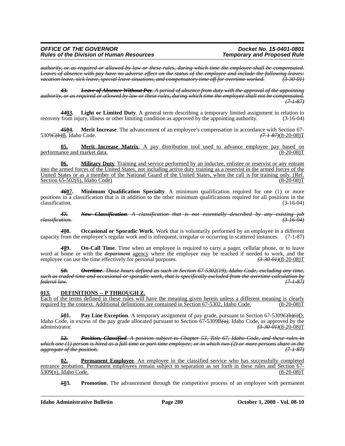*authority, or as required or allowed by law or these rules, during which time the employee shall be compensated. Leaves of absence with pay have no adverse effect on the status of the employee and include the following leaves: vacation leave, sick leave, special leave situations, and compensatory time off for overtime worked. (3-30-01)*

*43. Leave of Absence Without Pay. A period of absence from duty with the approval of the appointing authority, or as required or allowed by law or these rules, during which time the employee shall not be compensated. (7-1-87)*

*44***03. Light or Limited Duty**. A general term describing a temporary limited assignment in relation to recovery from injury, illness or other limiting condition as approved by the appointing authority. (3-16-04)

4504. Merit Increase. The advancement of an employee's compensation in accordance with Section 67-<br><del>1 Algerian Code</del>. (7-1-87) (8-20-08) T 5309*C(b)*B, Idaho Code.

**05. Merit Increase Matrix**. A pay distribution tool used to advance employee pay based on ance and market data. (8-20-08) performance and market data.

**06. Military Duty**. Training and service performed by an inductee, enlistee or reservist or any entrant into the armed forces of the United States, not including active duty training as a reservist in the armed forces of the United States or as a member of the National Guard of the United States, when the call is for training only. (Ref.<br>Section 65-502(6), Idaho Code) (8-20-08) Section  $65-502(6)$ , Idaho Code)

*46***07. Minimum Qualification Specialty**. A minimum qualification required for one (1) or more positions in a classification that is in addition to the other minimum qualifications required for all positions in the classification. (3-16-04)

*47. New Classification. A classification that is not essentially described by any existing job classification. (3-16-04)*

*4***08. Occasional or Sporadic Work**. Work that is voluntarily performed by an employee in a different capacity from the employee's regular work and is infrequent, irregular or occurring in scattered instances. (7-1-87)

*4***09. On-Call Time**. Time when an employee is required to carry a pager, cellular phone, or to leave word at home or with the *department* agency where the employee may be reached if needed to work, and the employee can use the time effectively for personal purposes. (3.30 0H)(8-20-08)T employee can use the time effectively for personal purposes.

*50. Overtime. Those hours defined as such in Section 67-5302(19), Idaho Code, excluding any time, such as traded time and occasional or sporadic work, that is specifically excluded from the overtime calculation by federal law. (7-1-87)*

# **013. DEFINITIONS -- P THROUGH Z.**

Each of the terms defined in these rules will have the meaning given herein unless a different meaning is clearly required by the context. Additional definitions are contained in Section 67-5302, Idaho Code. (8-20-08)T

*5***01. Pay Line Exception**. A temporary assignment of pay grade, pursuant to Section 67-5309*C(b)(i)*D, Idaho Code, in excess of the pay grade allocated pursuant to Section 67-5309B*(a)*, Idaho Code, as approved by the administrator. *(3-30-01)*(8-20-08)T

*52. Position, Classified. A position subject to Chapter 53, Title 67, Idaho Code, and these rules in which one (1) person is hired as a full-time or part-time employee; or in which two (2) or more persons share in the aggregate of the position. (7-1-87)*

**02. Permanent Employee**. An employee in the classified service who has successfully completed entrance probation. Permanent employees remain subject to separation as set forth in these rules and Section 67-<br>5309(n), Idaho Code. (8-20-08)  $5309(n)$ , Idaho Code.

*5***03. Promotion**. The advancement through the competitive process of an employee with permanent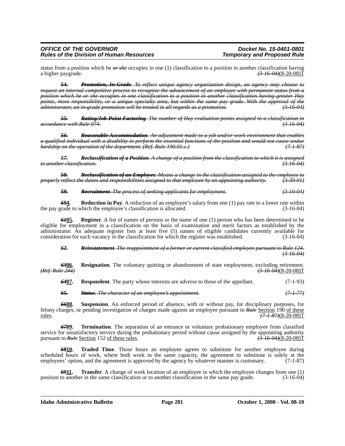# *OFFICE OF THE GOVERNOR Docket No. 15-0401-0801 Rules of the Division of Human Resources*

status from a position which he *or she* occupies in one (1) classification to a position in another classification having a higher paygrade. (3.46.04)(8-20-08)T a higher paygrade. *(3-16-04)*(8-20-08)T

*54. Promotion, In-Grade. To reflect unique agency organization design, an agency may choose to request an internal competitive process to recognize the advancement of an employee with permanent status from a position which he or she occupies in one classification to a position in another classification having greater Hay points, more responsibility, or a unique specialty area, but within the same pay grade. With the approval of the administrator, an in-grade promotion will be treated in all regards as a promotion. (3-16-04)*

*55. Rating/Job Point Factoring. The number of Hay evaluation points assigned to a classification in accordance with Rule 074. (3-16-04)*

*56. Reasonable Accommodation. An adjustment made to a job and/or work environment that enables a qualified individual with a disability to perform the essential functions of the position and would not cause undue hardship on the operation of the department. (Ref. Rule 190.01.c.)* 

*57. Reclassification of a Position. A change of a position from the classification to which it is assigned to another classification. (3-16-04)*

*58. Reclassification of an Employee. Means a change in the classification assigned to the employee to properly reflect the duties and responsibilities assigned to that employee by an appointing authority. (3-30-01)*

*59. Recruitment. The process of seeking applicants for employment. (3-16-04)*

**604.** Reduction in Pay. A reduction of an employee's salary from one (1) pay rate to a lower rate within rade to which the employee's classification is allocated. (3-16-04) the pay grade to which the employee's classification is allocated.

*61***05. Register**. A list of names of persons or the name of one (1) person who has been determined to be eligible for employment in a classification on the basis of examination and merit factors as established by the administrator. An adequate register lists at least five (5) names of eligible candidates currently available for consideration for each vacancy in the classification for which the register was established. (3-16-04)

#### *62. Reinstatement. The reappointment of a former or current classified employee pursuant to Rule 124. (3-16-04)*

**6306.** Resignation. The voluntary quitting or abandonment of state employment, excluding retirement.<br><del>*Ref. Rule* 244)</del> *(3-16-04) (3-16-04) (3-16-04) (Ref. Rule 244) (3-16-04)*(8-20-08)T

*64***07. Respondent**. The party whose interests are adverse to those of the appellant. (7-1-93)

*65. Status. The character of an employee's appointment. (7-1-77)*

*66***08. Suspension**. An enforced period of absence, with or without pay, for disciplinary purposes, for felony charges, or pending investigation of charges made against an employee pursuant to *Rule* Section 190 of these rules. *(7-1-87)*(8-20-08)T

*67***09. Termination**. The separation of an entrance or voluntary probationary employee from classified service for unsatisfactory service during the probationary period without cause assigned by the appointing authority pursuant to *Rule* Section 152 of these rules. *(3-16-04)*(8-20-08)T

*68***10. Traded Time**. Those hours an employee agrees to substitute for another employee during scheduled hours of work, where both work in the same capacity, the agreement to substitute is solely at the employees' option, and the agreement is approved by the agency by whatever manner is customary. (7-1-87)

**6911. Transfer**. A change of work location of an employee in which the employee changes from one (1) to another in the same classification or to another classification in the same pay grade. (3-16-04) position to another in the same classification or to another classification in the same pay grade.

**Idaho Administrative Bulletin Page 281 October 1, 2008 - Vol. 08-10**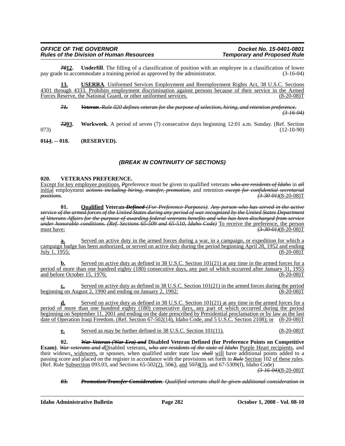# *OFFICE OF THE GOVERNOR Docket No. 15-0401-0801 Rules of the Division of Human Resources*

*The filling of a classification of position with an employee in a classification of lower mmodate a training period as approved by the administrator.* **(3-16-04)** pay grade to accommodate a training period as approved by the administrator.

**13. USERRA**. Uniformed Services Employment and Reemployment Rights Act, 38 U.S.C. Sections 4301 through 4333. Prohibits employment discrimination against persons because of their service in the Armed Forces Reserve, the National Guard, or other uniformed services. (8-20-08)T

*71. Veteran. Rule 020 defines veteran for the purpose of selection, hiring, and retention preference. (3-16-04)*

*72***03. Workweek**. A period of seven (7) consecutive days beginning 12:01 a.m. Sunday. (Ref. Section  $(12-10-90)$ 

**01***1***4. -- 018. (RESERVED).**

# *(BREAK IN CONTINUITY OF SECTIONS)*

# **020. VETERANS PREFERENCE.**

Except for key employee positions, *P*preference must be given to qualified veterans *who are residents of Idaho* in *all* initial employment *actions including hiring, transfer, promotion,* and retention *except for confidential secretarial positions*. *(3-30-01)*(8-20-08)T

**01. Qualified Veteran** *Defined (For Preference Purposes)*. *Any person who has served in the active service of the armed forces of the United States during any period of war recognized by the United States Department of Veterans Affairs for the purpose of awarding federal veterans benefits and who has been discharged from service under honorable conditions. (Ref. Sections 65-509 and 65-510, Idaho Code)* To receive the preference, the person must have: *(3-30-01)*(8-20-08)T

**a.** Served on active duty in the armed forces during a war, in a campaign, or expedition for which a campaign badge has been authorized, or served on active duty during the period beginning April 28, 1952 and ending  $\overline{July}$  1, 1955;

**b.** Served on active duty as defined in 38 U.S.C. Section 101(21) at any time in the armed forces for a period of more than one hundred eighty (180) consecutive days, any part of which occurred after January 31, 1955 and before October 15, 1976; (8-20-08)T

**c.** Served on active duty as defined in 38 U.S.C. Section 101(21) in the armed forces during the period g on August 2, 1990 and ending on January 2, 1992; beginning on August 2, 1990 and ending on January 2, 1992;

**d.** Served on active duty as defined in 38 U.S.C. Section 101(21) at any time in the armed forces for a period of more than one hundred eighty (180) consecutive days, any part of which occurred during the period beginning on September 11, 2001 and ending on the date prescribed by Presidential proclamation or by law as the last date of Operation Iraqi Freedom. (Ref. Section 67-502(14), Idaho Code, and 5 U.S.C. Section 2108); or (8-20-08)T

**e.** Served as may be further defined in 38 U.S.C. Section 101(11). (8-20-08)T

**02.** *War Veteran (War Era) and* **Disabled Veteran Defined (for Preference Points on Competitive Exam)**. *War veterans and d*Disabled veterans, *who are residents of the state of Idaho* Purple Heart recipients, and their widows, widowers, or spouses, when qualified under state law *shall* will have additional points added to a passing score and placed on the register in accordance with the provisions set forth in *Rule* Section 102 of these rules. (Ref. Rule Subsection 093.03, and Sections 65-502(2), 50*6*3, and 50*7*4(3), and 67-5309(f), Idaho Code)

*(3-16-04)*(8-20-08)T

*03. Promotion/Transfer Consideration. Qualified veterans shall be given additional consideration in*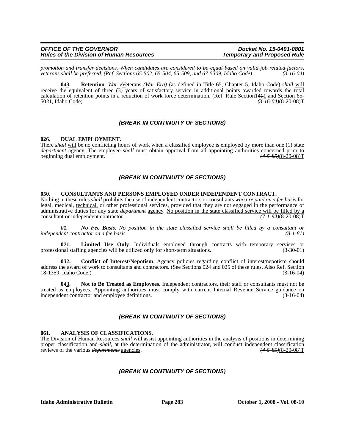| <b>OFFICE OF THE GOVERNOR</b>                   |
|-------------------------------------------------|
| <b>Rules of the Division of Human Resources</b> |

*promotion and transfer decisions. When candidates are considered to be equal based on valid job related factors, veterans shall be preferred. (Ref. Sections 65-502, 65-504, 65-509, and 67-5309, Idaho Code) (3-16-04)*

**0***4***3. Retention**. *War v*Veterans *(War Era)* (as defined in Title 65, Chapter 5, Idaho Code) *shall* will receive the equivalent of three (3) years of satisfactory service in additional points awarded towards the total calculation of retention points in a reduction of work force determination. (Ref. Rule Section1401 and Section 65-<br>5031, Idaho Code) (3-16-04)(8-20-08) 50*3*1, Idaho Code) *(3-16-04)*(8-20-08)T

# *(BREAK IN CONTINUITY OF SECTIONS)*

#### **026. DUAL EMPLOYMENT.**

There *shall* will be no conflicting hours of work when a classified employee is employed by more than one (1) state *department* agency. The employee *shall* must obtain approval from all appointing authorities concerned prior to beginning dual employment. beginning dual employment.

# *(BREAK IN CONTINUITY OF SECTIONS)*

#### **050. CONSULTANTS AND PERSONS EMPLOYED UNDER INDEPENDENT CONTRACT.**

Nothing in these rules *shall* prohibits the use of independent contractors or consultants *who are paid on a fee basis* for legal, medical, technical, or other professional services, provided that they are not engaged in the performance of administrative duties for any state *department* agency. No position in the state classified service will be filled by a consultant or independent contractor.  $(7-1-94)(8-20-08)T$ consultant or independent contractor.

*01. No Fee Basis. No position in the state classified service shall be filled by a consultant or independent contractor on a fee basis.* 

**021.** Limited Use Only. Individuals employed through contracts with temporary services or onal staffing agencies will be utilized only for short-term situations. (3-30-01) professional staffing agencies will be utilized only for short-term situations.

**0***3***2. Conflict of Interest/Nepotism**. Agency policies regarding conflict of interest/nepotism should address the award of work to consultants and contractors. (See Sections 024 and 025 of these rules. Also Ref. Section 18-1359, Idaho Code.)

**0***4***3. Not to Be Treated as Employees**. Independent contractors, their staff or consultants must not be treated as employees. Appointing authorities must comply with current Internal Revenue Service guidance on independent contractor and employee definitions. (3-16-04)

# *(BREAK IN CONTINUITY OF SECTIONS)*

#### **061. ANALYSIS OF CLASSIFICATIONS.**

The Division of Human Resources *shall* will assist appointing authorities in the analysis of positions in determining proper classification and *shall*, at the determination of the administrator, <u>will</u> conduct independent classification reviews of the various *departments* <u>agencies</u>. (4-5-85)(8-20-08) reviews of the various *departments* agencies.

# *(BREAK IN CONTINUITY OF SECTIONS)*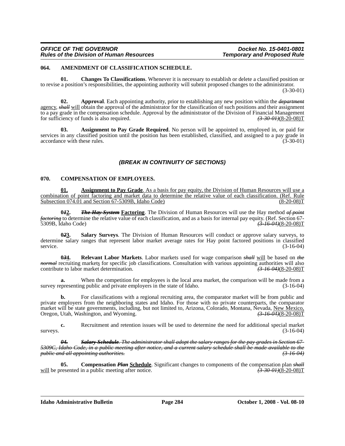# **064. AMENDMENT OF CLASSIFICATION SCHEDULE.**

**01. Changes To Classifications**. Whenever it is necessary to establish or delete a classified position or to revise a position's responsibilities, the appointing authority will submit proposed changes to the administrator. (3-30-01)

**02. Approval**. Each appointing authority, prior to establishing any new position within the *department* agency, *shall* will obtain the approval of the administrator for the classification of such positions and their assignment to a pay grade in the compensation schedule. Approval by the administrator of the Division of Financial Management<br>for sufficiency of funds is also required.  $\frac{(3-30-0)+(8-20-0)}{(3-30-0)+(8-20-0)}$ for sufficiency of funds is also required.

**03. Assignment to Pay Grade Required**. No person will be appointed to, employed in, or paid for services in any classified position until the position has been established, classified, and assigned to a pay grade in accordance with these rules. (3-30-01)

# *(BREAK IN CONTINUITY OF SECTIONS)*

#### **070. COMPENSATION OF EMPLOYEES.**

**01. Assignment to Pay Grade**. As a basis for pay equity, the Division of Human Resources will use a combination of point factoring and market data to determine the relative value of each classification. (Ref. Rule Subsection 074.01 and Section 67-5309B, Idaho Code)

**0***1***2.** *The Hay System* **Factoring**. The Division of Human Resources will use the Hay method *of point factoring* to determine the relative value of each classification, and as a basis for internal pay equity. (Ref. Section 67- 5309B, Idaho Code) *(3-16-04)*(8-20-08)T

**0***2***3. Salary Surveys**. The Division of Human Resources will conduct or approve salary surveys, to determine salary ranges that represent labor market average rates for Hay point factored positions in classified service. (3-16-04)

**0***3***4. Relevant Labor Markets**. Labor markets used for wage comparison *shall* will be based on *the normal* recruiting markets for specific job classifications. Consultation with various appointing authorities will also contribute to labor market determination. contribute to labor market determination.

**a.** When the competition for employees is the local area market, the comparison will be made from a presenting public and private employers in the state of Idaho. (3-16-04) survey representing public and private employers in the state of Idaho.

For classifications with a regional recruiting area, the comparator market will be from public and private employers from the neighboring states and Idaho. For those with no private counterparts, the comparator market will be state governments, including, but not limited to, Arizona, Colorado, Montana, Nevada, New Mexico, Oregon, Utah, Washington, and Wyoming. *(3-16-04)*(8-20-08)T

**c.** Recruitment and retention issues will be used to determine the need for additional special market surveys.  $(3-16-04)$ 

*04. Salary Schedule. The administrator shall adopt the salary ranges for the pay grades in Section 67- 5309C, Idaho Code, in a public meeting after notice, and a current salary schedule shall be made available to the public and all appointing authorities. (3-16-04)*

**05.** Compensation *Plan* Schedule. Significant changes to components of the compensation plan *shall* resented in a public meeting after notice. (3-30-01)(8-20-08) will be presented in a public meeting after notice.

**Idaho Administrative Bulletin Page 284 October 1, 2008 - Vol. 08-10**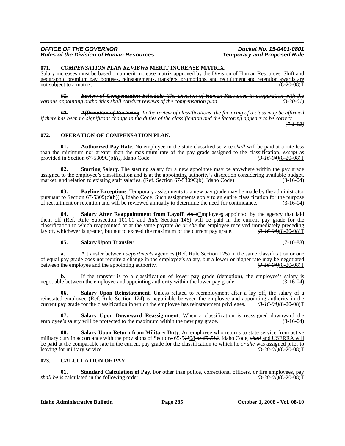#### **071.** *COMPENSATION PLAN REVIEWS* **MERIT INCREASE MATRIX.**

Salary increases must be based on a merit increase matrix approved by the Division of Human Resources. Shift and geographic premium pay, bonuses, reinstatements, transfers, promotions, and recruitment and retention awards are<br>  $(8-20-08)T$ not subject to a matrix.

*01. Review of Compensation Schedule. The Division of Human Resources in cooperation with the various appointing authorities shall conduct reviews of the compensation plan.* 

*02. Affirmation of Factoring. In the review of classifications, the factoring of a class may be affirmed if there has been no significant change in the duties of the classification and the factoring appears to be correct. (7-1-93)*

#### **072. OPERATION OF COMPENSATION PLAN.**

**01. Authorized Pay Rate**. No employee in the state classified service *shall* will be paid at a rate less than the minimum nor greater than the maximum rate of the pay grade assigned to the classification, except as provided in Section 67-5309C(b)(i), Idaho Code.  $\left(\frac{3.16.04}{8.20-0.8}\right)$ provided in Section 67-5309C(b)(i), Idaho Code.

**02. Starting Salary**. The starting salary for a new appointee may be anywhere within the pay grade assigned to the employee's classification and is at the appointing authority's discretion considering available budget, market, and relation to existing staff salaries. (Ref. Section 67-5309C(b), Idaho Code) (3-16-04)

**03. Payline Exceptions**. Temporary assignments to a new pay grade may be made by the administrator pursuant to Section 67-5309(c)(b)(i), Idaho Code. Such assignments apply to an entire classification for the purpose<br>of recruitment or retention and will be reviewed annually to determine the need for continuance.  $(3-16$ of recruitment or retention and will be reviewed annually to determine the need for continuance.

**04.** Salary After Reappointment from Layoff. An eEmployees appointed by the agency that laid them off (Ref. Rule Subsection 101.01 and *Rule* Section 146) will be paid in the current pay grade for the classification to which reappointed or at the same payrate *he or she* the employee received immediately preceding layoff, whichever is greater, but not to exceed the maximum of the current pay grade.  $\frac{(3-16-04)(8-20-08)T$ layoff, whichever is greater, but not to exceed the maximum of the current pay grade.

#### **05. Salary Upon Transfer**. (7-10-88)

**a.** A transfer between *departments* agencies (Ref. Rule Section 125) in the same classification or one of equal pay grade does not require a change in the employee's salary, but a lower or higher rate may be negotiated between the employee and the appointing authority.  $\left(3\right)$   $\left(3\right)$   $\left(3\right)$   $\left(3\right)$   $\left(3\right)$   $\left($ between the employee and the appointing authority.

**b.** If the transfer is to a classification of lower pay grade (demotion), the employee's salary is negotiable between the employee and appointing authority within the lower pay grade. (3-16-04)

**Salary Upon Reinstatement**. Unless related to reemployment after a lay off, the salary of a reinstated employee ( $Ref. Rule Section 124$ ) is negotiable between the employee and appointing authority in the current pay grade for the classification in which the employee has reinstatement privileges.  $\left(3-16-04\right)\left(8-20-08\$ </u> current pay grade for the classification in which the employee has reinstatement privileges.

**07.** Salary Upon Downward Reassignment. When a classification is reassigned downward the e's salary will be protected to the maximum within the new pay grade. (3-16-04) employee's salary will be protected to the maximum within the new pay grade.

**Salary Upon Return from Military Duty.** An employee who returns to state service from active military duty in accordance with the provisions of Section*s* 65-5*11*08 *or 65-512*, Idaho Code, *shall* and USERRA will be paid at the comparable rate in the current pay grade for the classification to which he  $\theta r$  she was assigned prior to leaving for military service. leaving for military service.

# **073. CALCULATION OF PAY.**

**01. Standard Calculation of Pay**. For other than police, correctional officers, or fire employees, pay is calculated in the following order:  $\frac{(3.30 \text{ } \theta \cdot \text{H})(8-20-08)}{1}$ *shall be* is calculated in the following order: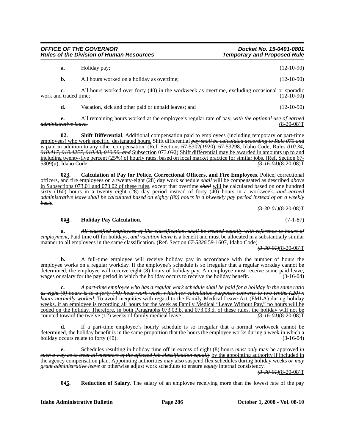| <b>OFFICE OF THE GOVERNOR</b>                   | Docket No. 15-0401-0801            |
|-------------------------------------------------|------------------------------------|
| <b>Rules of the Division of Human Resources</b> | <b>Temporary and Proposed Rule</b> |

| Holiday pay;                               | $(12-10-90)$ |
|--------------------------------------------|--------------|
| All hours worked on a holiday as overtime; | $(12-10-90)$ |

**c.** All hours worked over forty (40) in the workweek as overtime, excluding occasional or sporadic work and traded time; (12-10-90)

**d.** Vacation, sick and other paid or unpaid leaves; and (12-10-90)

**e.** All remaining hours worked at the employee's regular rate of pay*, with the optional use of earned administrative leave.* 

**02. Shift Differential**. Additional compensation paid to employees (including temporary or part-time employees) who work specific, designated hours. Shift differential *pay shall be calculated according to Rule 075 and* is paid in addition to any other compensation. (Ref. Sections 67-5302(*19*20), 67-532*9*8, Idaho Code; Rule*s 010.34, 010.417, 010.4257, 010.48, 010.50, and* Subsection 073.0*3*2) Shift differential may be awarded in amounts up to and including twenty-five percent (25%) of hourly rates, based on local market practice for similar jobs. (Ref. Section 67-<br>5309(u), Idaho Code. (3-16-04)(8-20-08) 5309(u), Idaho Code. *(3-16-04)*(8-20-08)T

**0***2***3. Calculation of Pay for Police, Correctional Officers, and Fire Employees**. Police, correctional officers, and fire employees on a twenty-eight (28) day work schedule *shall* will be compensated as described *above* in Subsections 073.01 and 073.02 of these rules, except that overtime *shall* will be calculated based on one hundred sixty (160) hours in a twenty eight (28) day period instead of forty (40) hours in a workweek*, and earned administrative leave shall be calculated based on eighty (80) hours in a biweekly pay period instead of on a weekly basis*.

*(3-30-01)*(8-20-08)T

#### **0***3***4. Holiday Pay Calculation**. (7-1-87)

**a.** *All classified employees of like classification, shall be treated equally with reference to hours of employment,* Paid time off for holidays*, and vacation leave* is a benefit and must be allocated in a substantially similar manner to all employees in the same classification. (Ref. Section *67-5326* 59-1607, Idaho Code)

*(3-30-01)*(8-20-08)T

**b.** A full-time employee will receive holiday pay in accordance with the number of hours the employee works on a regular workday. If the employee's schedule is so irregular that a regular workday cannot be determined, the employee will receive eight (8) hours of holiday pay. An employee must receive some paid leave, wages or salary for the pay period in which the holiday occurs to receive the holiday benefit. (3-16-04)

**c.** *A part-time employee who has a regular work schedule shall be paid for a holiday in the same ratio as eight (8) hours is to a forty (40) hour work week, which for calculation purposes converts to two tenths (.20) x hours normally worked.* To avoid inequities with regard to the Family Medical Leave Act (FMLA) during holiday weeks, if an employee is recording all hours for the week as Family Medical "Leave Without Pay," no hours will be coded on the holiday. Therefore, in both Paragraphs 073.03.b. and 073.03.d. of these rules, the holiday will not be counted toward the twelve (12) weeks of family medical leave. counted toward the twelve (12) weeks of family medical leave.

**d.** If a part-time employee's hourly schedule is so irregular that a normal workweek cannot be determined, the holiday benefit is in the same proportion that the hours the employee works during a week in which a holiday occurs relate to forty (40). (3-16-04)

**e.** Schedules resulting in holiday time off in excess of eight (8) hours *must only* may be approved *in such a way as to treat all members of the affected job classification equally* by the appointing authority if included in the agency compensation plan. Appointing authorities may also suspend flex schedules during holiday weeks *or may grant administrative leave* or otherwise adjust work schedules to ensure *equity* internal consistency.

*(3-30-01)*(8-20-08)T

**0***4***5. Reduction of Salary**. The salary of an employee receiving more than the lowest rate of the pay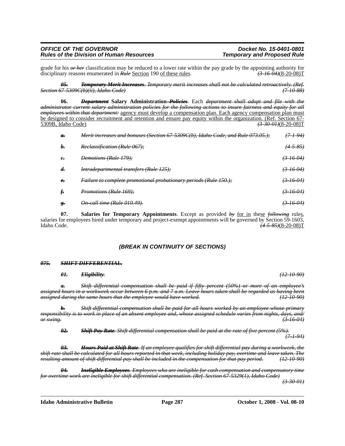# *OFFICE OF THE GOVERNOR*<br>Rules of the Division of Human Resources **Docket No. 15-0401-0801**<br>Temporary and Proposed Rule *Rules of the Division of Human Resources*

grade for his *or her* classification may be reduced to a lower rate within the pay grade by the appointing authority for disciplinary reasons enumerated in *Rule* Section 190 of these rules. (3.16.04)(8-20-08)T disciplinary reasons enumerated in *Rule* Section 190 of these rules.

*05. Temporary Merit Increases. Temporary merit increases shall not be calculated retroactively. (Ref. Section 67-5309C(b)(ii), Idaho Code) (7-10-88)*

**06.** *Department* **Salary Administration** *Policies*. Each *department shall adopt and file with the administrator current salary administration policies for the following actions to insure fairness and equity for all employees within that department:* agency must develop a compensation plan. Each agency compensation plan must be designed to consider recruitment and retention and ensure pay equity within the organization. (Ref. Section 67-<br>5309B, Idaho Code) (3.300 H)(8-20-08) 5309B, Idaho Code) *(3-30-01)*(8-20-08)T

| $\boldsymbol{a}$ . | <del>Merit increases and bonuses (Section 67-5309C(b), Idaho Code, and Rule 073.05.);</del> | 7-1-94)              |
|--------------------|---------------------------------------------------------------------------------------------|----------------------|
| $h_{\tau}$         | Reclassification (Rule 067);                                                                | $(4-5-85)$           |
| $\epsilon$         | Demotions (Rule 179);                                                                       | <del>(3 16 04)</del> |
| d.                 | <i>Intradepartmental transfers (Rule 125);</i>                                              | $(3-16-04)$          |
| $\epsilon$         | <i>Failure to complete promotional probationary periods (Rule 150.);</i>                    | <del>(3-16-04)</del> |
| f.                 | <i>Promotions (Rule 169):</i>                                                               | <del>(3 16 04)</del> |
| g.                 | <del>On-call time (Rule 010.49).</del>                                                      | <del>(3-16-04)</del> |

**07. Salaries for Temporary Appointments**. Except as provided *by* for in these *following* rules, salaries for employees hired under temporary and project-exempt appointments will be governed by Section 59-1603,<br>Idaho Code.  $(4.5.85)(8-20-08)T$  $(4-5-85)(8-20-08)$ T

# *(BREAK IN CONTINUITY OF SECTIONS)*

#### *075. SHIFT DIFFERENTIAL.*

*01. Eligibility. (12-10-90)*

*a. Shift differential compensation shall be paid if fifty percent (50%) or more of an employee's assigned hours in a workweek occur between 6 p.m. and 7 a.m. Leave hours taken shall be regarded as having been assigned during the same hours that the employee would have worked. (12-10-90)*

*b. Shift differential compensation shall be paid for all hours worked by an employee whose primary responsibility is to work in place of an absent employee and, whose assigned schedule varies from nights, days, and/ or swing. (3-16-04)*

*02. Shift Pay Rate. Shift differential compensation shall be paid at the rate of five percent (5%). (7-1-94)*

*03. Hours Paid at Shift Rate. If an employee qualifies for shift differential pay during a workweek, the shift rate shall be calculated for all hours reported in that week, including holiday pay, overtime and leave taken. The resulting amount of shift differential pay shall be included in the compensation for that pay period. (12-10-90)*

*04. Ineligible Employees. Employees who are ineligible for cash compensation and compensatory time for overtime work are ineligible for shift differential compensation. (Ref. Section 67-5329(1), Idaho Code)*

*(3-30-01)*

**Idaho Administrative Bulletin Page 287 October 1, 2008 - Vol. 08-10**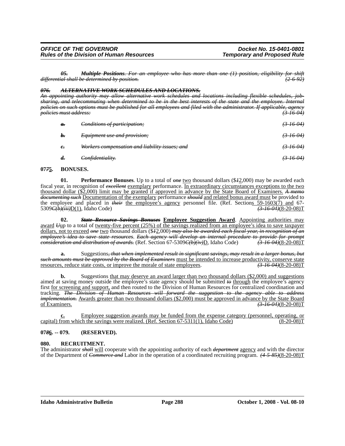*05. Multiple Positions. For an employee who has more than one (1) position, eligibility for shift differential shall be determined by position. (2-6-92)*

#### *076. ALTERNATIVE WORK SCHEDULES AND LOCATIONS.*

*An appointing authority may allow alternative work schedules and locations including flexible schedules, jobsharing, and telecommuting when determined to be in the best interests of the state and the employee. Internal policies on such options must be published for all employees and filed with the administrator. If applicable, agency policies must address: (3-16-04)*

| $\theta$ .         | Conditions of participation;                   | <del>(3 16 04)</del> |
|--------------------|------------------------------------------------|----------------------|
| b.                 | <i>Equipment use and provision:</i>            | $(3-16-04)$          |
| $e_{\overline{z}}$ | Workers compensation and liability issues; and | $(3-16-04)$          |
| $\boldsymbol{d}$   | Confidentiality.                               |                      |

#### **07***7***5. BONUSES.**

**01. Performance Bonuses**. Up to a total of *one* two thousand dollars (\$*1*2,000) may be awarded each fiscal year, in recognition of *excellent* exemplary performance. In extraordinary circumstances exceptions to the two thousand dollar (\$2,000) limit may be granted if approved in advance by the State Board of Examiners. *A memo documenting such* Documentation of the exemplary performance *should* and related bonus award must be provided to the employee and placed in *their* the employee's agency personnel file. (Ref. Sections 59-1603(7) and 67-<br>5309C(b)(iii), Idaho Code) (3-16-04)(8-20-08)T 5309*C(b)(iii)*D(1), Idaho Code)

**02.** *State Resource Savings Bonuses* **Employee Suggestion Award**. Appointing authorities may award *U*up to a total of twenty-five percent (25%) of the savings realized from an employee's idea to save taxpayer dollars, not to exceed *one* two thousand dollars (\$*1*2,000) *may also be awarded each fiscal year, in recognition of an employee's idea to save state resources*. *Each agency will develop an internal procedure to provide for prompt consideration and distribution of awards.* (Ref. Section 67-5309<del>*C(b)(iv)*</del>D, Idaho Code)

**a.** Suggestions*, that when implemented result in significant savings, may result in a larger bonus, but such amounts must be approved by the Board of Examiners* must be intended to increase productivity, conserve state resources, reduce state costs, or improve the morale of state employees. *(3-16-04)*(8-20-08)T

**b.** Suggestions that may deserve an award larger than two thousand dollars (\$2,000) and suggestions aimed at saving money outside the employee's state agency should be submitted *to* through the employee's agency first <u>for screening and support</u>, and then routed to the Division of Human Resources for centralized coordination and tracking. *The Division of Human Resources will forward the suggestion to the agency able to address implementation.* Awards greater than two thousand dollars (\$2,000) must be approved in advance by the State Board of Examiners. *(3-16-04)*(8-20-08)T

**c.** Employee suggestion awards may be funded from the expense category (personnel, operating, or irom which the savings were realized. (Ref. Section 67-5311(1), Idaho Code) (8-20-08) capital) from which the savings were realized. (Ref. Section  $67-5311(1)$ , Idaho Code)

#### **07***8***6. -- 079. (RESERVED).**

# **080. RECRUITMENT.**

The administrator *shall* will cooperate with the appointing authority of each *department* agency and with the director of the Department of *Commerce and* Labor in the operation of a coordinated recruiting program. *(4-5-85)*(8-20-08)T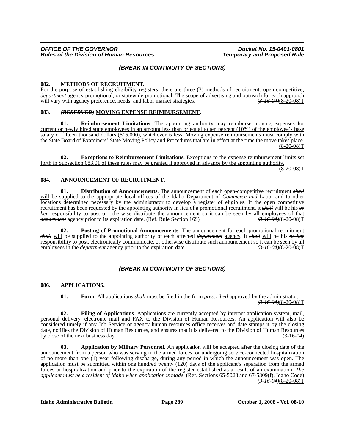# *(BREAK IN CONTINUITY OF SECTIONS)*

#### **082. METHODS OF RECRUITMENT.**

For the purpose of establishing eligibility registers, there are three (3) methods of recruitment: open competitive, *department* agency promotional, or statewide promotional. The scope of advertising and outreach for each approach will vary with agency preference, needs, and labor market strategies.  $(3-16-04)(8-20-08)T$ 

# **083.** *(RESERVED)* **MOVING EXPENSE REIMBURSEMENT.**

**01. Reimbursement Limitations**. The appointing authority may reimburse moving expenses for current or newly hired state employees in an amount less than or equal to ten percent (10%) of the employee's base salary or fifteen thousand dollars (\$15,000), whichever is less. Moving expense reimbursements must comply with the State Board of Examiners' State Moving Policy and Procedures that are in effect at the time the move takes place.  $(8-20-08)T$ 

**02. Exceptions to Reimbursement Limitations**. Exceptions to the expense reimbursement limits set forth in Subsection 083.01 of these rules may be granted if approved in advance by the appointing authority.

 $(8-20-08)T$ 

# **084. ANNOUNCEMENT OF RECRUITMENT.**

**01. Distribution of Announcements**. The announcement of each open-competitive recruitment *shall* will be supplied to the appropriate local offices of the Idaho Department of *Commerce and* Labor and to other locations determined necessary by the administrator to develop a register of eligibles. If the open competitive recruitment has been requested by the appointing authority in lieu of a promotional recruitment, it *shall* will be his *or her* responsibility to post or otherwise distribute the announcement so it can be seen by all employees of that *department* agency prior to its expiration date. (Ref. Rule Section 169)  $(3-16-04)(8-20-08)T$ *department* agency prior to its expiration date. (Ref. Rule Section 169)

**02. Posting of Promotional Announcements**. The announcement for each promotional recruitment *shall* will be supplied to the appointing authority of each affected *department* agency. It *shall* will be his *or her* responsibility to post, electronically communicate, or otherwise distribute such announcement so it can be seen by all employees in the *department* agency prior to the expiration date.  $\left(3\right)$   $\left(3\right)$   $\left(3\right)$   $\left(4$ employees in the *department* agency prior to the expiration date.

# *(BREAK IN CONTINUITY OF SECTIONS)*

# **086. APPLICATIONS.**

**01. Form**. All applications *shall* must be filed in the form *prescribed* approved by the administrator. *(3-16-04)*(8-20-08)T

**02. Filing of Applications**. Applications are currently accepted by internet application system, mail, personal delivery, electronic mail and FAX to the Division of Human Resources. An application will also be considered timely if any Job Service or agency human resources office receives and date stamps it by the closing date, notifies the Division of Human Resources, and ensures that it is delivered to the Division of Human Resources by close of the next business day. (3-16-04)

**03. Application by Military Personnel**. An application will be accepted after the closing date of the announcement from a person who was serving in the armed forces, or undergoing service-connected hospitalization of no more than one (1) year following discharge, during any period in which the announcement was open. The application must be submitted within one hundred twenty (120) days of the applicant's separation from the armed forces or hospitalization and prior to the expiration of the register established as a result of an examination. *The applicant must be a resident of Idaho when application is made.* (Ref. Sections 65-50*2*3 and 67-5309(f), Idaho Code) *(3-16-04)*(8-20-08)T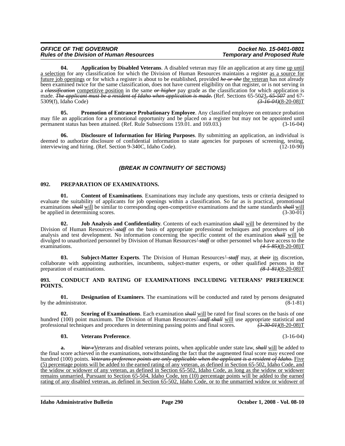| <b>OFFICE OF THE GOVERNOR</b>                   |  |
|-------------------------------------------------|--|
| <b>Rules of the Division of Human Resources</b> |  |

**04. Application by Disabled Veterans**. A disabled veteran may file an application at any time up until a selection for any classification for which the Division of Human Resources maintains a register as a source for future job openings or for which a register is about to be established, provided *he or she* the veteran has not already been examined twice for the same classification, does not have current eligibility on that register, or is not serving in a *classification* competitive position in the same *or higher* pay grade as the classification for which application is made. *The applicant must be a resident of Idaho when application is made.* (Ref. Sections 65-50*2*3*, 65-507* and 67- 5309(f), Idaho Code)

**05. Promotion of Entrance Probationary Employee**. Any classified employee on entrance probation may file an application for a promotional opportunity and be placed on a register but may not be appointed until permanent status has been attained. (Ref. Rule Subsections 159.01. and 169.03.) (3-16-04)

**06. Disclosure of Information for Hiring Purposes**. By submitting an application, an individual is deemed to authorize disclosure of confidential information to state agencies for purposes of screening, testing, interviewing and hiring. (Ref. Section 9-340C, Idaho Code). (12-10-90)

# *(BREAK IN CONTINUITY OF SECTIONS)*

# **092. PREPARATION OF EXAMINATIONS.**

**01. Content of Examinations**. Examinations may include any questions, tests or criteria designed to evaluate the suitability of applicants for job openings within a classification. So far as is practical, promotional examinations *shall* will be similar to corresponding open-competitive examinations and the same standards *shall* will be applied in determining scores. (3-30-01)

**02. Job Analysis and Confidentiality**. Contents of each examination *shall* will be determined by the Division of Human Resources*' staff* on the basis of appropriate professional techniques and procedures of job analysis and test development. No information concerning the specific content of the examination *shall* will be divulged to unauthorized personnel by Division of Human Resources*' staff* or other personnel who have access to the examinations. *(4-5-85)*(8-20-08)T

**03. Subject-Matter Experts**. The Division of Human Resources*' staff* may, at *their* its discretion, collaborate with appointing authorities, incumbents, subject-matter experts, or other qualified persons in the preparation of examinations.  $\left(8 - 1.84\right)$ preparation of examinations.

#### **093. CONDUCT AND RATING OF EXAMINATIONS INCLUDING VETERANS' PREFERENCE POINTS.**

**01. Designation of Examiners**. The examinations will be conducted and rated by persons designated lministrator. (8-1-81) by the administrator.

**02.** Scoring of Examinations. Each examination *shall* will be rated for final scores on the basis of one hundred (100) point maximum. The Division of Human Resources<sup>2</sup> staff shall will use appropriate statistical and professional techniques and procedures in determining passing points and final scores.  $\frac{(3.30 \text{ }0.4)(8-20-0$ professional techniques and procedures in determining passing points and final scores.

#### **03. Veterans Preference**. (3-16-04)

**a.** *War v*Veterans and disabled veterans points, when applicable under state law, *shall* will be added to the final score achieved in the examinations, notwithstanding the fact that the augmented final score may exceed one hundred (100) points. *Veterans preference points are only applicable when the applicant is a resident of Idaho.* Five (5) percentage points will be added to the earned rating of any veteran, as defined in Section 65-502, Idaho Code, and the widow or widower of any veteran, as defined in Section 65-502, Idaho Code, as long as the widow or widower remains unmarried. Pursuant to Section 65-504, Idaho Code, ten (10) percentage points will be added to the earned rating of any disabled veteran, as defined in Section 65-502, Idaho Code, or to the unmarried widow or widower of

**Idaho Administrative Bulletin Page 290 October 1, 2008 - Vol. 08-10**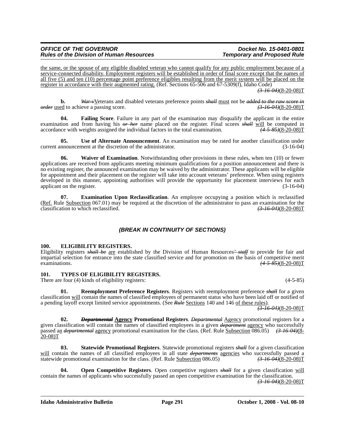the same, or the spouse of any eligible disabled veteran who cannot qualify for any public employment because of a service-connected disability. Employment registers will be established in order of final score except that the names of all five (5) and ten (10) percentage point preference eligibles resulting from the merit system will be placed on the register in accordance with their augmented rating. (Ref. Sections 65-506 and 67-5309(f), Idaho Code) *(3-16-04)*(8-20-08)T

**b.** *War v*<u>V</u>eterans and disabled veterans preference points *shall* <u>must</u> not be *added to the raw score in* ed to achieve a passing score. (3–16–04)(8–20–08) *order* used to achieve a passing score.

**04. Failing Score**. Failure in any part of the examination may disqualify the applicant in the entire examination and from having his  $\theta r$  here name placed on the register. Final scores  $\theta r$  will be computed in accordance with weights assigned the individual factors in the total examination.  $\theta$  (4-5-85)(8-20-08)T accordance with weights assigned the individual factors in the total examination.

**05. Use of Alternate Announcement**. An examination may be rated for another classification under current announcement at the discretion of the administrator. (3-16-04)

**06. Waiver of Examination**. Notwithstanding other provisions in these rules, when ten (10) or fewer applications are received from applicants meeting minimum qualifications for a position announcement and there is no existing register, the announced examination may be waived by the administrator. These applicants will be eligible for appointment and their placement on the register will take into account veterans' preference. When using registers developed in this manner, appointing authorities will provide the opportunity for placement interviews for each applicant on the register. (3-16-04) applicant on the register.

**07. Examination Upon Reclassification**. An employee occupying a position which is reclassified (Ref. Rule Subsection 067.01) may be required at the discretion of the administrator to pass an examination for the classification to which reclassified.  $(3.16.04)(8-20-08)T$ classification to which reclassified.

# *(BREAK IN CONTINUITY OF SECTIONS)*

# **100. ELIGIBILITY REGISTERS.**

Eligibility registers *shall be* are established by the Division of Human Resources*' staff* to provide for fair and impartial selection for entrance into the state classified service and for promotion on the basis of competitive merit examinations. *(4-5-85)*(8-20-08)T

# **101. TYPES OF ELIGIBILITY REGISTERS.**

There are four (4) kinds of eligibility registers: (4-5-85)

**01. Reemployment Preference Registers**. Registers with reemployment preference *shall* for a given classification will contain the names of classified employees of permanent status who have been laid off or notified of a pending layoff except limited service appointments. (See *Rule* Sections 140 and 146 of these rules).

*(3-16-04)*(8-20-08)T

**02.** *Departmental* **Agency Promotional Registers**. *Departmental* Agency promotional registers for a given classification will contain the names of classified employees in a given *department* agency who successfully passed an *departmental* agency promotional examination for the class. (Ref. Rule Subsection 086.05) (3-16-04)(8-20-08)T

**03. Statewide Promotional Registers**. Statewide promotional registers *shall* for a given classification will contain the names of all classified employees in all state *departments* agencies who successfully passed a statewide promotional examination for the class. (Ref. Rule Subsection 086.05)  $(3.16.04)(8.20-0.08)$ statewide promotional examination for the class. (Ref. Rule Subsection 086.05)

**04. Open Competitive Registers**. Open competitive registers *shall* for a given classification will contain the names of applicants who successfully passed an open competitive examination for the classification. *(3-16-04)*(8-20-08)T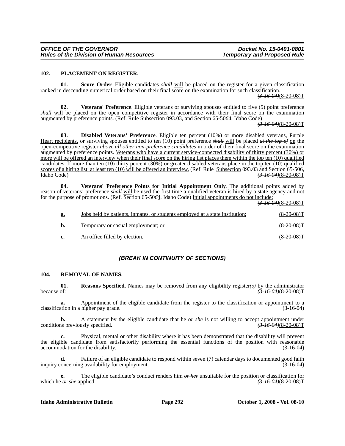#### **102. PLACEMENT ON REGISTER.**

**01. Score Order**. Eligible candidates *shall* will be placed on the register for a given classification ranked in descending numerical order based on their final score on the examination for such classification.

*(3-16-04)*(8-20-08)T

**02. Veterans' Preference**. Eligible veterans or surviving spouses entitled to five (5) point preference *shall* will be placed on the open competitive register in accordance with their final score on the examination augmented by preference points. (Ref. Rule Subsection 093.03, and Section 65-50*6*4, Idaho Code)

*(3-16-04)*(8-20-08)T

**03. Disabled Veterans' Preference**. Eligible ten percent (10%) or more disabled veterans, Purple Heart recipients, or surviving spouses entitled to ten (10) point preference *shall* will be placed *at the top of* on the open-competitive register *above all other non-preference candidates* in order of their final score on the examination augmented by preference points. Veterans who have a current service-connected disability of thirty percent (30%) or more will be offered an interview when their final score on the hiring list places them within the top ten (10) qualified candidates. If more than ten (10) thirty percent (30%) or greater disabled veterans place in the top ten (10) qualified scores of a hiring list, at least ten (10) will be offered an interview. (Ref. Rule Subsection 093.03 and Section 65-506, Idaho Code) *(3-16-04)*(8-20-08)T

**04. Veterans' Preference Points for Initial Appointment Only**. The additional points added by reason of veterans' preference *shall* will be used the first time a qualified veteran is hired by a state agency and not for the purpose of promotions. (Ref. Section 65-50*6*4, Idaho Code) Initial appointments do not include:

*(3-16-04)*(8-20-08)T

| <u>a.</u>      | <u>Jobs held by patients, inmates, or students employed at a state</u> institution; | $(8-20-08)T$ |
|----------------|-------------------------------------------------------------------------------------|--------------|
| b.             | Temporary or casual employment; or                                                  | $(8-20-08)T$ |
| $\mathbf{c}$ . | An office filled by election.                                                       | $(8-20-08)T$ |

# *(BREAK IN CONTINUITY OF SECTIONS)*

#### **104. REMOVAL OF NAMES.**

**01.** Reasons Specified. Names may be removed from any eligibility register(s) by the administrator because of: because of: *(3-16-04)*(8-20-08)T

**a.** Appointment of the eligible candidate from the register to the classification or appointment to a ation in a higher pay grade.  $(3-16-04)$ classification in a higher pay grade.

**b.** A statement by the eligible candidate that he *or she* is not willing to accept appointment under conditions previously specified.

**c.** Physical, mental or other disability where it has been demonstrated that the disability will prevent the eligible candidate from satisfactorily performing the essential functions of the position with reasonable accommodation for the disability. (3-16-04)

**d.** Failure of an eligible candidate to respond within seven (7) calendar days to documented good faith inquiry concerning availability for employment. (3-16-04)

**e.** The eligible candidate's conduct renders him *or her* unsuitable for the position or classification for which he *or she* applied.  $(3-16-04)(8-20-08)T$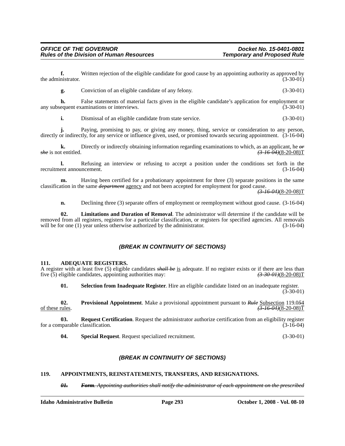**f.** Written rejection of the eligible candidate for good cause by an appointing authority as approved by the administrator. (3-30-01)

**g.** Conviction of an eligible candidate of any felony. (3-30-01)

**h.** False statements of material facts given in the eligible candidate's application for employment or equent examinations or interviews. any subsequent examinations or interviews.

**i.** Dismissal of an eligible candidate from state service. (3-30-01)

**j.** Paying, promising to pay, or giving any money, thing, service or consideration to any person, directly or indirectly, for any service or influence given, used, or promised towards securing appointment. (3-16-04)

**k.** Directly or indirectly obtaining information regarding examinations to which, as an applicant, he  $\theta r$ <br>**k** is not entitled.  $\left(3-16-04\right)\left(8-20-08\right)T$ *she* is not entitled. *(3-16-04)*(8-20-08)T

**l.** Refusing an interview or refusing to accept a position under the conditions set forth in the recruitment announcement. (3-16-04)

**m.** Having been certified for a probationary appointment for three (3) separate positions in the same classification in the same *department* agency and not been accepted for employment for good cause.

*(3-16-04)*(8-20-08)T

**n.** Declining three (3) separate offers of employment or reemployment without good cause. (3-16-04)

**02. Limitations and Duration of Removal**. The administrator will determine if the candidate will be removed from all registers, registers for a particular classification, or registers for specified agencies. All removals will be for one (1) year unless otherwise authorized by the administrator. (3-16-04)

# *(BREAK IN CONTINUITY OF SECTIONS)*

#### **111. ADEQUATE REGISTERS.**

A register with at least five (5) eligible candidates *shall be* is adequate. If no register exists or if there are less than five (5) eligible candidates, appointing authorities may: five (5) eligible candidates, appointing authorities may:

**01. Selection from Inadequate Register**. Hire an eligible candidate listed on an inadequate register.  $(3 - 30 - 01)$ 

**02.** Provisional Appointment. Make a provisional appointment pursuant to  $\frac{Rule\text{Subsection}}{3.46.04}(8-20-08)T$ of these rules. *(3-16-04)*(8-20-08)T

**03.** Request Certification. Request the administrator authorize certification from an eligibility register for a comparable classification. (3-16-04)

**04. Special Request**. Request specialized recruitment. (3-30-01)

# *(BREAK IN CONTINUITY OF SECTIONS)*

#### **119. APPOINTMENTS, REINSTATEMENTS, TRANSFERS, AND RESIGNATIONS.**

*01. Form. Appointing authorities shall notify the administrator of each appointment on the prescribed*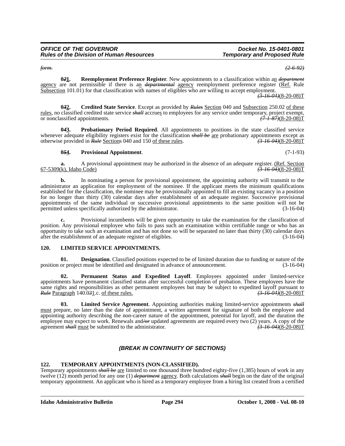*form. (2-6-92)*

**0***2***1. Reemployment Preference Register**. New appointments to a classification within an *department* agency are not permissible if there is an *departmental* agency reemployment preference register (Ref. Rule Subsection 101.01) for that classification with names of eligibles who are willing to accept employment.

*(3-16-04)*(8-20-08)T

**0***3***2. Credited State Service**. Except as provided by *Rules* Section 040 and Subsection 250.02 of these rules, no classified credited state service *shall* accrues to employees for any service under temporary, project exempt, or nonclassified appointments. or nonclassified appointments.

**0***4***3. Probationary Period Required**. All appointments to positions in the state classified service whenever adequate eligibility registers exist for the classification *shall be* are probationary appointments except as otherwise provided in *Rule* Sections 040 and 150 of these rules. *(3-16-04)*(8-20-08)T

# **0***5***4. Provisional Appointment**. (7-1-93)

**a.** A provisional appointment may be authorized in the absence of an adequate register. (Ref. Section 67-5309(k), Idaho Code) *(3-16-04)*(8-20-08)T

**b.** In nominating a person for provisional appointment, the appointing authority will transmit to the administrator an application for employment of the nominee. If the applicant meets the minimum qualifications established for the classification, the nominee may be provisionally appointed to fill an existing vacancy in a position for no longer than thirty (30) calendar days after establishment of an adequate register. Successive provisional appointments of the same individual or successive provisional appointments to the same position will not be permitted unless specifically authorized by the administrator. (3-16-04)

**c.** Provisional incumbents will be given opportunity to take the examination for the classification of position. Any provisional employee who fails to pass such an examination within certifiable range or who has an opportunity to take such an examination and has not done so will be separated no later than thirty (30) calendar days after the establishment of an adequate register of eligibles.

# **120. LIMITED SERVICE APPOINTMENTS.**

**01. Designation**. Classified positions expected to be of limited duration due to funding or nature of the position or project must be identified and designated in advance of announcement. (3-16-04)

**02. Permanent Status and Expedited Layoff**. Employees appointed under limited-service appointments have permanent classified status after successful completion of probation. These employees have the same rights and responsibilities as other permanent employees but may be subject to expedited layoff pursuant to  $Rul$ e Paragraph 140.031.c. of these rules. *Rule* Paragraph 140.031.c. of these rules.

**03. Limited Service Agreement**. Appointing authorities making limited-service appointments *shall* must prepare, no later than the date of appointment, a written agreement for signature of both the employee and appointing authority describing the non-career nature of the appointment, potential for layoff, and the duration the employee may expect to work. Renewals and*/or* updated agreements are required every two (2) years. A copy of the agreement *shall* must be submitted to the administrator. *(3-16-04)*(8-20-08)T

# *(BREAK IN CONTINUITY OF SECTIONS)*

# **122. TEMPORARY APPOINTMENTS (NON-CLASSIFIED).**

Temporary appointments *shall be* are limited to one thousand three hundred eighty-five (1,385) hours of work in any twelve (12) month period for any one (1) *department* agency. Both calculations *shall* begin on the date of the original temporary appointment. An applicant who is hired as a temporary employee from a hiring list created from a certified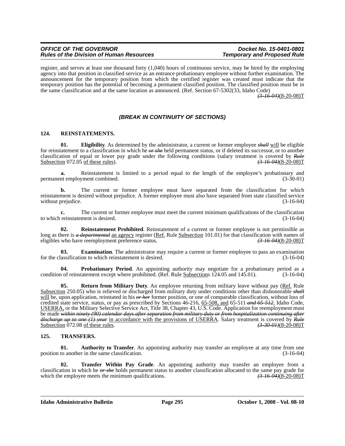#### *OFFICE OF THE GOVERNOR*<br>Rules of the Division of Human Resources **Docket No. 15-0401-0801**<br>Temporary and Proposed Rule *Rules of the Division of Human Resources*

register, and serves at least one thousand forty (1,040) hours of continuous service, may be hired by the employing agency into that position in classified service as an entrance probationary employee without further examination. The announcement for the temporary position from which the certified register was created must indicate that the temporary position has the potential of becoming a permanent classified position. The classified position must be in the same classification and at the same location as announced. (Ref. Section 67-5302(33, Idaho Code)

*(3-16-04)*(8-20-08)T

# *(BREAK IN CONTINUITY OF SECTIONS)*

# **124. REINSTATEMENTS.**

**01. Eligibility**. As determined by the administrator, a current or former employee *shall* will be eligible for reinstatement to a classification in which he *or she* held permanent status, or if deleted its successor, or to another classification of equal or lower pay grade under the following conditions (salary treatment is covered by *Rule* Subsection 072.05 of these rules). *(3-16-04)*(8-20-08)T

**a.** Reinstatement is limited to a period equal to the length of the employee's probationary and nt employment combined.  $(3-30-01)$ permanent employment combined.

The current or former employee must have separated from the classification for which reinstatement is desired without prejudice. A former employee must also have separated from state classified service<br>(3-16-04) without prejudice.

**c.** The current or former employee must meet the current minimum qualifications of the classification to which reinstatement is desired. (3-16-04)

**02.** Reinstatement Prohibited. Reinstatement of a current or former employee is not permissible as long as there is *a departmental* an agency register (Ref. Rule Subsection 101.01) for that classification with names of eligibles who have reemployment preference status. (3.46.04) (8.20.08) T eligibles who have reemployment preference status.

**03. Examination**. The administrator may require a current or former employee to pass an examination assification to which reinstatement is desired. (3-16-04) for the classification to which reinstatement is desired.

**04. Probationary Period**. An appointing authority may negotiate for a probationary period as a condition of reinstatement except where prohibited. (Ref. Rule Subsections 124.05 and 145.01). (3-16-04)

**05. Return from Military Duty**. An employee returning from military leave without pay (Ref. Rule Subsection 250.05) who is relieved or discharged from military duty under conditions other than dishonorable *shall* will be, upon application, reinstated in his *or her* former position, or one of comparable classification, without loss of credited state service, status, or pay as prescribed by Sections 46-216, 65-508, and 65-511 *and 65-512*, Idaho Code, USERRA, or the Military Selective Service Act, Title 38, Chapter 43, U.S. Code. Application for reemployment must be made *within ninety (90) calendar days after separation from military duty or from hospitalization continuing after discharge up to one (1) year* in accordance with the provisions of USERRA. Salary treatment is covered by *Rule*<br>Subsection 072.08 of these rules. Subsection 072.08 of these rules.

#### **125. TRANSFERS.**

**01.** Authority to Transfer. An appointing authority may transfer an employee at any time from one position to another in the same classification. (3-16-04)

**02. Transfer Within Pay Grade**. An appointing authority may transfer an employee from a classification in which he *or she* holds permanent status to another classification allocated to the same pay grade for which the employee meets the minimum qualifications. *(3-16-04)*(8-20-08)T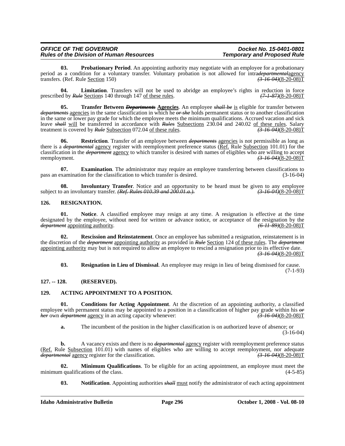| <b>OFFICE OF THE GOVERNOR</b>                   |
|-------------------------------------------------|
| <b>Rules of the Division of Human Resources</b> |

**03. Probationary Period**. An appointing authority may negotiate with an employee for a probationary period as a condition for a voluntary transfer. Voluntary probation is not allowed for intradepartmental agency<br>transfers. (Ref. Rule Section 150) (3-16-04)(8-20-08) transfers. (Ref. Rule Section 150)

**04.** Limitation. Transfers will not be used to abridge an employee's rights in reduction in force ed by  $R$ ule Sections 140 through 147 of these rules.  $(7-1-87)(8-20-08)T$ prescribed by *Rule* Sections 140 through 147 of these rules.

**05. Transfer Between** *Departments* **Agencies**. An employee *shall be* is eligible for transfer between *departments* agencies in the same classification in which he *or she* holds permanent status or to another classification in the same or lower pay grade for which the employee meets the minimum qualifications. Accrued vacation and sick leave *shall* will be transferred in accordance with *Rules* Subsections 230.04 and 240.02 of these rules. Salary treatment is covered by *Rule* Subsection 072.04 of these rules. treatment is covered by *Rule* Subsection 072.04 of these rules.

**Restriction**. Transfer of an employee between *departments* agencies is not permissible as long as there is a *departmental* agency register with reemployment preference status (Ref. Rule Subsection 101.01) for the classification in the *department* agency to which transfer is desired with names of eligibles who are willing to accept reemployment.<br>
(3.46.04)(8.20.08)T reemployment. *(3-16-04)*(8-20-08)T

**07. Examination**. The administrator may require an employee transferring between classifications to pass an examination for the classification to which transfer is desired. (3-16-04)

**08. Involuntary Transfer**. Notice and an opportunity to be heard must be given to any employee o an involuntary transfer. (Ref. Rules 010.39 and 200.01.a.). subject to an involuntary transfer. *(Ref. Rules 010.39 and 200.01.a.).* 

# **126. RESIGNATION.**

**01. Notice**. A classified employee may resign at any time. A resignation is effective at the time designated by the employee, without need for written or advance notice, or acceptance of the resignation by the *department* appointing authority.  $(6.11.89)(8-20-08)T$ *department* appointing authority.

**02. Rescission and Reinstatement**. Once an employee has submitted a resignation, reinstatement is in the discretion of the *department* appointing authority as provided in *Rule* Section 124 of these rules. The *department* appointing authority may but is not required to allow an employee to rescind a resignation prior to its effective date. *(3-16-04)*(8-20-08)T

**03. Resignation in Lieu of Dismissal**. An employee may resign in lieu of being dismissed for cause. (7-1-93)

# **127. -- 128. (RESERVED).**

# **129. ACTING APPOINTMENT TO A POSITION.**

**01. Conditions for Acting Appointment**. At the discretion of an appointing authority, a classified employee with permanent status may be appointed to a position in a classification of higher pay grade within his  $\theta$ *r* her own department agency in an acting capacity whenever:<br>(3-16-04)(8-20-08)T *her* own *department* agency in an acting capacity whenever:

**a.** The incumbent of the position in the higher classification is on authorized leave of absence; or (3-16-04)

**b.** A vacancy exists and there is no *departmental* agency register with reemployment preference status (Ref. Rule Subsection 101.01) with names of eligibles who are willing to accept reemployment, nor adequate departmental agency register for the classification. *departmental* agency register for the classification.

**02. Minimum Qualifications**. To be eligible for an acting appointment, an employee must meet the n qualifications of the class. (4-5-85) minimum qualifications of the class.

**03. Notification**. Appointing authorities *shall* must notify the administrator of each acting appointment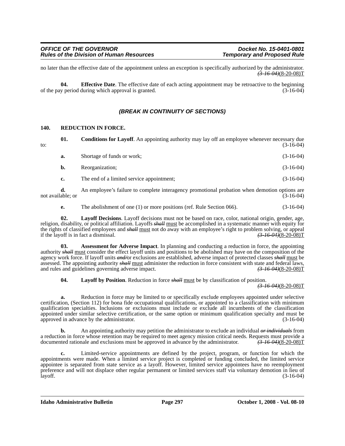no later than the effective date of the appointment unless an exception is specifically authorized by the administrator. *(3-16-04)*(8-20-08)T

**04. Effective Date**. The effective date of each acting appointment may be retroactive to the beginning of the pay period during which approval is granted. (3-16-04)

# *(BREAK IN CONTINUITY OF SECTIONS)*

# **140. REDUCTION IN FORCE.**

| to: | 01. | <b>Conditions for Layoff.</b> An appointing authority may lay off an employee whenever necessary due | $(3-16-04)$ |
|-----|-----|------------------------------------------------------------------------------------------------------|-------------|
|     | а.  | Shortage of funds or work;                                                                           | $(3-16-04)$ |
|     | b.  | Reorganization;                                                                                      | $(3-16-04)$ |

**c.** The end of a limited service appointment; (3-16-04)

**d.** An employee's failure to complete interagency promotional probation when demotion options are not available; or (3-16-04)

**e.** The abolishment of one (1) or more positions (ref. Rule Section 066). (3-16-04)

**02. Layoff Decisions**. Layoff decisions must not be based on race, color, national origin, gender, age, religion, disability, or political affiliation. Layoffs *shall* must be accomplished in a systematic manner with equity for the rights of classified employees and *shall* must not do away with an employee's right to problem solving, or appeal<br>if the layoff is in fact a dismissal.  $\left(3-16-04\right)\left(8-20-08\right)T$ if the layoff is in fact a dismissal.

**Assessment for Adverse Impact**. In planning and conducting a reduction in force, the appointing authority *shall* must consider the effect layoff units and positions to be abolished may have on the composition of the agency work force. If layoff units *and/*or exclusions are established, adverse impact of protected classes *shall* must be assessed. The appointing authority *shall* must administer the reduction in force consistent with state and federal laws, and rules and guidelines governing adverse impact. and rules and guidelines governing adverse impact.

**04. Layoff by Position**. Reduction in force *shall* must be by classification of position.

*(3-16-04)*(8-20-08)T

**a.** Reduction in force may be limited to or specifically exclude employees appointed under selective certification, (Section 112) for bona fide occupational qualifications, or appointed to a classification with minimum qualification specialties. Inclusions or exclusions must include or exclude all incumbents of the classification appointed under similar selective certification, or the same option or minimum qualification specialty and must be approved in advance by the administrator. (3-16-04)

**b.** An appointing authority may petition the administrator to exclude an individual *or individuals* from a reduction in force whose retention may be required to meet agency mission critical needs. Requests must provide a documented rationale and exclusions must be approved in advance by the administrator.  $\left(3\right)$   $\left(3\right)$ documented rationale and exclusions must be approved in advance by the administrator.

**c.** Limited-service appointments are defined by the project, program, or function for which the appointments were made. When a limited service project is completed or funding concluded, the limited service appointee is separated from state service as a layoff. However, limited service appointees have no reemployment preference and will not displace other regular permanent or limited services staff via voluntary demotion in lieu of layoff. (3-16-04)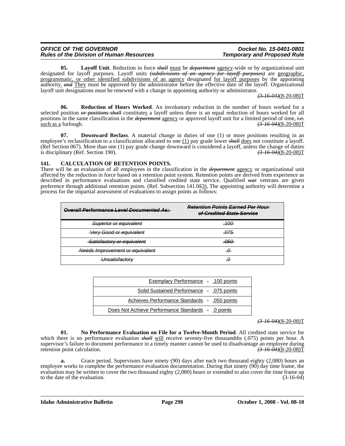| <b>OFFICE OF THE GOVERNOR</b>                   |  |
|-------------------------------------------------|--|
| <b>Rules of the Division of Human Resources</b> |  |

**05. Layoff Unit**. Reduction in force *shall* must be *department* agency-wide or by organizational unit designated for layoff purposes. Layoff units *(subdivisions of an agency for layoff purposes)* are geographic, programmatic, or other identified subdivisions of an agency designated for layoff purposes by the appointing authority. *and* They must be approved by the administrator before the effective date of the layoff. Organizational layoff unit designations must be renewed with a change in appointing authority or administrator.

*(3-16-04)*(8-20-08)T

**06. Reduction of Hours Worked**. An involuntary reduction in the number of hours worked for a selected position *or positions shall* constitutes a layoff unless there is an equal reduction of hours worked for all positions in the same classification in the *department* agency or approved layoff unit for a limited period of time, *i.e.* such as a furlough. *(3-16-04)*(8-20-08)T

**07. Downward Reclass**. A material change in duties of one (1) or more positions resulting in an employee's reclassification to a classification allocated to one (1) pay grade lower *shall* does not constitute a layoff. (Ref Section 067). More than one (1) pay grade change downward is considered a layoff, unless the change of duties is disciplinary (Ref. Section 190).  $(3-16-04)(8-20-08)T$ is disciplinary (Ref. Section 190).

# **141. CALCULATION OF RETENTION POINTS.**

There will be an evaluation of all employees in the classification in the *department* agency or organizational unit affected by the reduction in force based on a retention point system. Retention points are derived from experience as described in performance evaluations and classified credited state service. Qualified *war* veterans are given preference through additional retention points. (Ref. Subsection 141.0*5*3), The appointing authority will determine a process for the impartial assessment of evaluations to assign points as follows:

| <b>Overall Performance Level Documented As:</b> | <b>Retention Points Earned Per Hour</b><br>of Credited State Service |
|-------------------------------------------------|----------------------------------------------------------------------|
| Superior or equivalent                          | . 100                                                                |
| <b>Very Good or equivalent</b>                  | .075                                                                 |
| Satisfactory or equivalent                      | <del>.050</del>                                                      |
| Needs Improvement or equivalent                 | -0                                                                   |
| Unsatisfactory                                  | -0                                                                   |

| <b>Exemplary Performance - .100 points</b>        |
|---------------------------------------------------|
| Solid Sustained Performance - .075 points         |
| Achieves Performance Standards - .050 points      |
| Does Not Achieve Performance Standards - 0 points |

#### *(3-16-04)*(8-20-08)T

**01. No Performance Evaluation on File for a Twelve-Month Period**. All credited state service for which there is no performance evaluation *shall* will receive seventy-five thousandths (.075) points per hour. A supervisor's failure to document performance in a timely manner cannot be used to disadvantage an employee during<br>retention point calculation.  $\left(3-16-04\right)\left(8-20-08\right)T$ retention point calculation.

**a.** Grace period. Supervisors have ninety (90) days after each two thousand eighty (2,080) hours an employee works to complete the performance evaluation documentation. During that ninety  $(90)$  day time frame, the evaluation may be written to cover the two thousand eighty (2,080) hours or extended to also cover the time frame up<br>to the date of the evaluation. (3-16-04) to the date of the evaluation.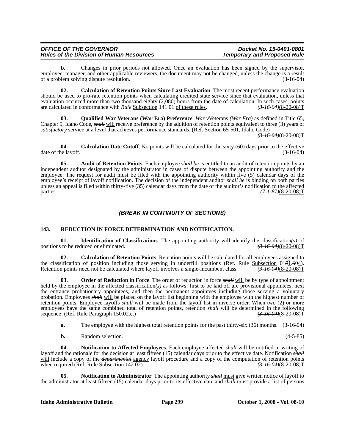| <b>OFFICE OF THE GOVERNOR</b>                   |  |
|-------------------------------------------------|--|
| <b>Rules of the Division of Human Resources</b> |  |

**b.** Changes in prior periods not allowed. Once an evaluation has been signed by the supervisor, employee, manager, and other applicable reviewers, the document may not be changed, unless the change is a result of a problem solving dispute resolution. (3-16-04)

**02. Calculation of Retention Points Since Last Evaluation**. The most recent performance evaluation should be used to pro-rate retention points when calculating credited state service since that evaluation, unless that evaluation occurred more than two thousand eighty (2,080) hours from the date of calculation. In such cases, points are calculated in conformance with  $Rule$  Subsection 141.01 of these rules.  $\left(3.1604\right)/\left(3.2000\right)$ are calculated in conformance with *Rule* Subsection 141.01 of these rules.

**Qualified War Veterans (War Era) Preference.** *War v*Veterans *(War Era)* as defined in Title 65, Chapter 5, Idaho Code, *shall* will receive preference by the addition of retention points equivalent to three (3) years of *satisfactory* service at a level that achieves performance standards. (Ref. Section 65-501, Idaho Code)

*(3-16-04)*(8-20-08)T

**04.** Calculation Date Cutoff. No points will be calculated for the sixty (60) days prior to the effective ne layoff. (3-16-04) date of the layoff.

**05.** Audit of Retention Points. Each employee *shall be* is entitled to an audit of retention points by an independent auditor designated by the administrator in cases of dispute between the appointing authority and the employee. The request for audit must be filed with the appointing authority within five (5) calendar days of the employee's receipt of layoff notification. The decision of the independent auditor *shall be* is binding on both parties unless an appeal is filed within thirty-five (35) calendar days from the date of the auditor's notification to the affected parties. *(7.1.87)***(8-20-08)T** *(7.1.87)***(8-20-08)T** 

# *(BREAK IN CONTINUITY OF SECTIONS)*

# **143. REDUCTION IN FORCE DETERMINATION AND NOTIFICATION.**

**01. Identification of Classifications**. The appointing authority will identify the classification*(s)* of positions to be reduced or eliminated.  $(3-16-04)(8-20-08)T$ 

**02. Calculation of Retention Points**. Retention points will be calculated for all employees assigned to the classification of position including those serving in underfill positions (Ref. Rule Subsection 01*0*1.*604*).<br>Retention points need not be calculated where layoff involves a single-incumbent class.  $\frac{73-16-04}{(3-16$ Retention points need not be calculated where layoff involves a single-incumbent class.

**03. Order of Reduction in Force**. The order of reduction in force *shall* will be by type of appointment held by the employee in the affected classification*(s)* as follows: first to be laid off are provisional appointees, next the entrance probationary appointees, and then the permanent appointees including those serving a voluntary probation. Employees *shall* will be placed on the layoff list beginning with the employee with the highest number of retention points. Employee layoffs *shall* will be made from the layoff list in inverse order. When two (2) or more employees have the same combined total of retention points, retention *shall* will be determined in the following sequence: (Ref. Rule Paragraph 150.02.c.) *(3-16-04)*(8-20-08)T

- **a.** The employee with the highest total retention points for the past thirty-six (36) months. (3-16-04)
- **b.** Random selection. (4-5-85)

**04. Notification to Affected Employees**. Each employee affected *shall* will be notified in writing of layoff and the rationale for the decision at least fifteen (15) calendar days prior to the effective date. Notification *shall* will include a copy of the *departmental* agency layoff procedure and a copy of the computation of retention points when required (Ref. Rule <u>Subsection</u> 142.02). *(3-16-04)*(8-20-08)T

**05. Notification to Administrator**. The appointing authority *shall* must give written notice of layoff to the administrator at least fifteen (15) calendar days prior to its effective date and *shall* must provide a list of persons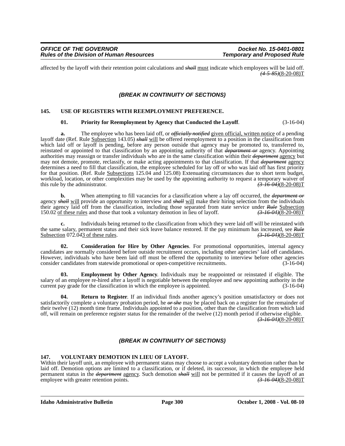affected by the layoff with their retention point calculations and *shall* must indicate which employees will be laid off. *(4-5-85)*(8-20-08)T

# *(BREAK IN CONTINUITY OF SECTIONS)*

#### **145. USE OF REGISTERS WITH REEMPLOYMENT PREFERENCE.**

#### **01. Priority for Reemployment by Agency that Conducted the Layoff**. (3-16-04)

**a.** The employee who has been laid off, or *officially notified* given official, written notice of a pending layoff date (Ref. Rule Subsection 143.05) *shall* will be offered reemployment to a position in the classification from which laid off or layoff is pending, before any person outside that agency may be promoted to, transferred to, reinstated or appointed to that classification by an appointing authority of that *department or* agency. Appointing authorities may reassign or transfer individuals who are in the same classification within their *department* agency but may not demote, promote, reclassify, or make acting appointments to that classification. If that *department* agency determines a need to fill that classification, the employee scheduled for lay off or who was laid off has first priority for that position. (Ref. Rule **Subsections** 125.04 and 125.08) Extenuating circumstances due to short term budget, workload, location, or other complexities may be used by the appointing authority to request a temporary waiver of this rule by the administrator.  $\left(3-16-04\right)\left(8-20-08\right)T$ this rule by the administrator.

**b.** When attempting to fill vacancies for a classification where a lay off occurred, the *department or* agency *shall* will provide an opportunity to interview and *shall* will make their hiring selection from the individuals their agency laid off from the classification, including those separated from state service under *Rule* Subsection 150.02 of these rules and those that took a voluntary demotion in lieu of layoff. *(3-16-04)*(8-20-08)T

**c.** Individuals being returned to the classification from which they were laid off will be reinstated with the same salary, permanent status and their sick leave balance restored. If the pay minimum has increased, see *Rule*<br>Subsection 072.043 of these rules.<br> $\frac{(3-16-04)(8-20-08)T}{\frac{(3-16-04)(8-20-08)T}{\frac{(3-16-04)(8-20-08)T}{\frac{(3-$ Subsection  $072.043$  of these rules.

**02. Consideration for Hire by Other Agencies**. For promotional opportunities, internal agency candidates are normally considered before outside recruitment occurs, including other agencies' laid off candidates. However, individuals who have been laid off must be offered the opportunity to interview before other agencies consider candidates from statewide promotional or open-competitive recruitments. (3-16-04)

**03. Employment by Other Agency**. Individuals may be reappointed or reinstated if eligible. The salary of an employee re-hired after a layoff is negotiable between the employee and new appointing authority in the current pay grade for the classification in which the employee is appointed. (3-16-04) current pay grade for the classification in which the employee is appointed.

**Return to Register**. If an individual finds another agency's position unsatisfactory or does not satisfactorily complete a voluntary probation period, he *or she* may be placed back on a register for the remainder of their twelve (12) month time frame. Individuals appointed to a position, other than the classification from which laid off, will remain on preference register status for the remainder of the twelve (12) month period if otherwise eligible. *(3-16-04)*(8-20-08)T

# *(BREAK IN CONTINUITY OF SECTIONS)*

#### **147. VOLUNTARY DEMOTION IN LIEU OF LAYOFF.**

Within their layoff unit, an employee with permanent status may choose to accept a voluntary demotion rather than be laid off. Demotion options are limited to a classification, or if deleted, its successor, in which the employee held permanent status in the *department* agency. Such demotion *shall* will not be permitted if it causes the layoff of an employee with greater retention points. *(3-16-04)*(8-20-08)T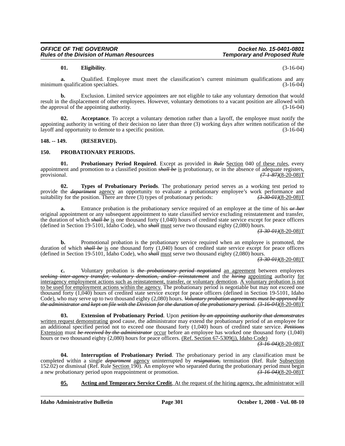# **01. Eligibility**. (3-16-04)

**a.** Qualified. Employee must meet the classification's current minimum qualifications and any n qualification specialties. (3-16-04) minimum qualification specialties.

**b.** Exclusion. Limited service appointees are not eligible to take any voluntary demotion that would result in the displacement of other employees. However, voluntary demotions to a vacant position are allowed with the approval of the appointing authority. (3-16-04)

**Acceptance**. To accept a voluntary demotion rather than a layoff, the employee must notify the appointing authority in writing of their decision no later than three (3) working days after written notification of the layoff and opportunity to demote to a specific position. (3-16-04)

# **148. -- 149. (RESERVED).**

# **150. PROBATIONARY PERIODS.**

**01.** Probationary Period Required. Except as provided in *Rule* Section 040 of these rules, every appointment and promotion to a classified position *shall be* is probationary, or in the absence of adequate registers, provisional. (7.1.87)(8-20-08) provisional. *(7-1-87)*(8-20-08)T

**02. Types of Probationary Periods**. The probationary period serves as a working test period to provide the *department* agency an opportunity to evaluate a probationary employee's work performance and suitability for the position. There are three (3) types of probationary periods:  $\left(\frac{3-30-01}{8-20-08}\right)$ 

**a.** Entrance probation is the probationary service required of an employee at the time of his *or her* original appointment or any subsequent appointment to state classified service excluding reinstatement and transfer, the duration of which *shall be* is one thousand forty (1,040) hours of credited state service except for peace officers (defined in Section 19-5101, Idaho Code), who *shall* must serve two thousand eighty (2,080) hours.

*(3-30-01)*(8-20-08)T

**b.** Promotional probation is the probationary service required when an employee is promoted, the duration of which *shall be* is one thousand forty (1,040) hours of credited state service except for peace officers (defined in Section 19-5101, Idaho Code), who *shall* must serve two thousand eighty (2,080) hours.

# *(3-30-01)*(8-20-08)T

**c.** Voluntary probation is *the probationary period negotiated* an agreement between employees *seeking inter-agency transfer, voluntary demotion, and/or reinstatement* and the *hiring* appointing authority for interagency employment actions such as reinstatement, transfer, or voluntary demotion. A voluntary probation is not to be used for employment actions within the agency. The probationary period is negotiable but may not exceed one thousand forty (1,040) hours of credited state service except for peace officers (defined in Section 19-5101, Idaho Code), who may serve up to two thousand eighty (2,080) hours. *Voluntary probation agreements must be approved by the administrator and kept on file with the Division for the duration of the probationary period. (3-16-04)*(8-20-08)T

**03. Extension of Probationary Period**. Upon *petition by an appointing authority that demonstrates* written request demonstrating good cause, the administrator may extend the probationary period of an employee for an additional specified period not to exceed one thousand forty (1,040) hours of credited state service. *Petitions* Extension must *be received by the administrator* occur before an employee has worked one thousand forty (1,040) hours or two thousand eighty (2,080) hours for peace officers. (Ref. Section 67-5309(j), Idaho Code)

*(3-16-04)*(8-20-08)T

**04. Interruption of Probationary Period**. The probationary period in any classification must be completed within a single *department* agency uninterrupted by *resignation,* termination (Ref. Rule Subsection 152.02) or dismissal (Ref. Rule Section 190). An employee who separated during the probationary period must begin<br>a new probationary period upon reappointment or promotion.  $\frac{(3-16-04)(8-20-08)T}{\frac{(3-16-04)(8-20-08)}{T}}$ a new probationary period upon reappointment or promotion.

# **05. Acting and Temporary Service Credit**. At the request of the hiring agency, the administrator will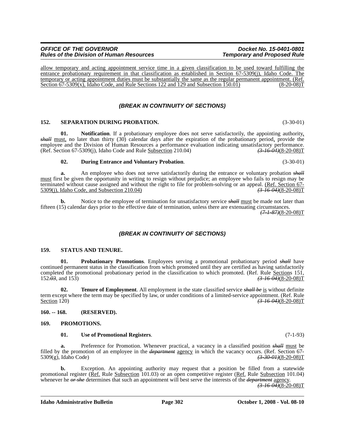allow temporary and acting appointment service time in a given classification to be used toward fulfilling the entrance probationary requirement in that classification as established in Section 67-5309(j), Idaho Code. The temporary or acting appointment duties must be substantially the same as the regular permanent appointment. (Ref. Section 67-5309(x), Idaho Code, and Rule Sections 122 and 129 and Subsection 150.01) (8-20-08)T Section  $67-5309(x)$ , Idaho Code, and Rule Sections 122 and 129 and Subsection 150.01)

# *(BREAK IN CONTINUITY OF SECTIONS)*

#### **152. SEPARATION DURING PROBATION.** (3-30-01)

**01.** Notification. If a probationary employee does not serve satisfactorily, the appointing authority, *shall* must, no later than thirty (30) calendar days after the expiration of the probationary period, provide the employee and the Division of Human Resources a performance evaluation indicating unsatisfactory performance.<br>(Ref. Section 67-5309(i), Idaho Code and Rule Subsection 210.04)  $\left(3-16-04\right)\left(8-20-08\right)T$ (Ref. Section 67-5309(j), Idaho Code and Rule Subsection 210.04)

#### **02. During Entrance and Voluntary Probation**. (3-30-01)

**a.** An employee who does not serve satisfactorily during the entrance or voluntary probation *shall* must first be given the opportunity in writing to resign without prejudice; an employee who fails to resign may be terminated without cause assigned and without the right to file for problem-solving or an appeal. (Ref. Section 67- 5309(j), Idaho Code, and Subsection 210.04) *(3-16-04)*(8-20-08)T

**b.** Notice to the employee of termination for unsatisfactory service *shall* must be made not later than fifteen (15) calendar days prior to the effective date of termination, unless there are extenuating circumstances.

*(7-1-87)*(8-20-08)T

# *(BREAK IN CONTINUITY OF SECTIONS)*

#### **159. STATUS AND TENURE.**

**01. Probationary Promotions**. Employees serving a promotional probationary period *shall* have continued permanent status in the classification from which promoted until they are certified as having satisfactorily completed the promotional probationary period in the classification to which promoted. (Ref. Rule Sections 151, 152.03, and 153)  $(3-16-04)(8-20-08)T$ 152*.03*, and 153) *(3-16-04)*(8-20-08)T

**02. Tenure of Employment**. All employment in the state classified service *shall be* is without definite term except where the term may be specified by law, or under conditions of a limited-service appointment. (Ref. Rule Section 120) *(3-16-04)*(8-20-08)T

#### **160. -- 168. (RESERVED).**

#### **169. PROMOTIONS.**

#### **01. Use of Promotional Registers**. (7-1-93)

**a.** Preference for Promotion. Whenever practical, a vacancy in a classified position *shall* must be filled by the promotion of an employee in the *department* <u>agency</u> in which the vacancy occurs. (Ref. Section 67-5309(g), Idaho Code) (3.300  $\frac{(3.30 \text{ }\theta\text{~H})(8-20-08)}{1}$ 5309(g), Idaho Code)

**b.** Exception. An appointing authority may request that a position be filled from a statewide promotional register (Ref. Rule Subsection 101.03) or an open competitive register (Ref. Rule Subsection 101.04) whenever he *or she* determines that such an appointment will best serve the interests of the *department* agency.

*(3-16-04)*(8-20-08)T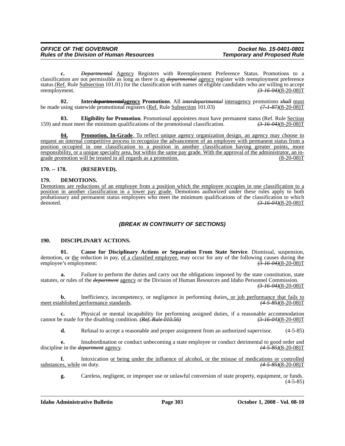**c.** *Departmental* Agency Registers with Reemployment Preference Status. Promotions to a classification are not permissible as long as there is an *departmental* agency register with reemployment preference status (Ref. Rule Subsection 101.01) for the classification with names of eligible candidates who are willing to accept reemployment. *(3-16-04)*(8-20-08)T

**02.** Inter*departmental***agency Promotions**. All *interdepartmental* interagency promotions *shall* must using statewide promotional registers (Ref. Rule Subsection 101.03)  $(7 + 87)(8-20-08)T$ be made using statewide promotional registers (Ref. Rule Subsection 101.03)

**Eligibility for Promotion.** Promotional appointees must have permanent status (Ref. Rule Section et the minimum qualifications of the promotional classification.  $\left(\frac{3.16}{3.16}\right)^{3.16}$ 159) and must meet the minimum qualifications of the promotional classification.

**04. Promotion, In-Grade**. To reflect unique agency organization design, an agency may choose to request an internal competitive process to recognize the advancement of an employee with permanent status from a position occupied in one classification to a position in another classification having greater points, more responsibility, or a unique specialty area, but within the same pay grade. With the approval of the administrator, an in-<br>grade promotion will be treated in all regards as a promotion. (8-20-08) grade promotion will be treated in all regards as a promotion.

**170. -- 178. (RESERVED).**

#### **179. DEMOTIONS.**

Demotions are reductions of an employee from a position which the employee occupies in one classification to a position in another classification in a lower pay grade. Demotions authorized under these rules apply to both probationary and permanent status employees who meet the minimum qualifications of the classification to which demoted. *(3-16-04)*(8-20-08)T

# *(BREAK IN CONTINUITY OF SECTIONS)*

# **190. DISCIPLINARY ACTIONS.**

**01. Cause for Disciplinary Actions or Separation From State Service**. Dismissal, suspension, demotion, or <u>the</u> reduction in pay, <u>of a classified employee</u>, may occur for any of the following causes during the employee's employment:<br>  $\frac{(3-16-04)(8-20-08)T}{\frac{(3-16-04)(8-20-08)}{T}}$ employee's employment:

**a.** Failure to perform the duties and carry out the obligations imposed by the state constitution, state statutes, or rules of the *department* agency or the Division of Human Resources and Idaho Personnel Commission. *(3-16-04)*(8-20-08)T

**b.** Inefficiency, incompetency, or negligence in performing duties, or job performance that fails to take that fails to the ablished performance standards. meet established performance standards.

**c.** Physical or mental incapability for performing assigned duties, if a reasonable accommodation e made for the disabling condition. (Ref. Rule 010.56) cannot be made for the disabling condition. *(Ref. Rule 010.56)* 

**d.** Refusal to accept a reasonable and proper assignment from an authorized supervisor. (4-5-85)

**e.** Insubordination or conduct unbecoming a state employee or conduct detrimental to good order and discipline in the *department* agency. *(4-5-85)*(8-20-08)T

**f.** Intoxication <u>or being under the influence of alcohol</u>, or the misuse of medications or controlled substances, while on duty.  $(4-5-85)(8-20-08)T$ 

**g.** Careless, negligent, or improper use or unlawful conversion of state property, equipment, or funds. (4-5-85)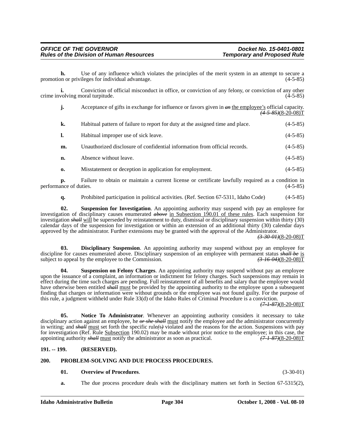**h.** Use of any influence which violates the principles of the merit system in an attempt to secure a promotion or privileges for individual advantage. (4-5-85)

**i.** Conviction of official misconduct in office, or conviction of any felony, or conviction of any other crime involving moral turpitude. (4-5-85)

| j.           | Acceptance of gifts in exchange for influence or favors given in $\theta$ the employee's official capacity. | $\left(4 - 5 - 85\right) (8 - 20 - 08)$ T |
|--------------|-------------------------------------------------------------------------------------------------------------|-------------------------------------------|
| k.           | Habitual pattern of failure to report for duty at the assigned time and place.                              | $(4-5-85)$                                |
| 1.           | Habitual improper use of sick leave.                                                                        | $(4-5-85)$                                |
| m.           | Unauthorized disclosure of confidential information from official records.                                  | $(4-5-85)$                                |
| n.           | Absence without leave.                                                                                      | $(4-5-85)$                                |
| $\mathbf{0}$ | Misstatement or deception in application for employment.                                                    | $(4-5-85)$                                |

**p.** Failure to obtain or maintain a current license or certificate lawfully required as a condition in nece of duties.  $(4-5-85)$ performance of duties.

**q.** Prohibited participation in political activities. (Ref. Section 67-5311, Idaho Code) (4-5-85)

**02. Suspension for Investigation**. An appointing authority may suspend with pay an employee for investigation of disciplinary causes enumerated *above* in Subsection 190.01 of these rules. Each suspension for investigation *shall* will be superseded by reinstatement to duty, dismissal or disciplinary suspension within thirty (30) calendar days of the suspension for investigation or within an extension of an additional thirty (30) calendar days approved by the administrator. Further extensions may be granted with the approval of the Administrator.

*(3-30-01)*(8-20-08)T

**03. Disciplinary Suspension**. An appointing authority may suspend without pay an employee for discipline for causes enumerated above. Disciplinary suspension of an employee with permanent status *shall be* is subject to appeal by the employee to the Commission. (3.46.04)(8-20-08)<sup>T</sup> subject to appeal by the employee to the Commission.

**Suspension on Felony Charges**. An appointing authority may suspend without pay an employee upon the issuance of a complaint, an information or indictment for felony charges. Such suspensions may remain in effect during the time such charges are pending. Full reinstatement of all benefits and salary that the employee would have otherwise been entitled *shall* must be provided by the appointing authority to the employee upon a subsequent finding that charges or information were without grounds or the employee was not found guilty. For the purpose of this rule, a judgment withheld under Rule 33(d) of the Idaho Rules of Criminal Procedure is a conviction.

*(7-1-87)*(8-20-08)T

**05. Notice To Administrator**. Whenever an appointing authority considers it necessary to take disciplinary action against an employee, he *or she shall* must notify the employee and the administrator concurrently in writing; and *shall* must set forth the specific rule*(*s*)* violated and the reasons for the action. Suspensions with pay for investigation (Ref. Rule <u>Subsection</u> 190.02) may be made without prior notice to the employee; in this case, the appointing authority *shall* must notify the administrator as soon as practical.  $(7-1-87)(8-20-08)T$ appointing authority *shall* must notify the administrator as soon as practical.

# **191. -- 199. (RESERVED).**

#### **200. PROBLEM-SOLVING AND DUE PROCESS PROCEDURES.**

# **01. Overview of Procedures**. (3-30-01)

**a.** The due process procedure deals with the disciplinary matters set forth in Section 67-5315(2),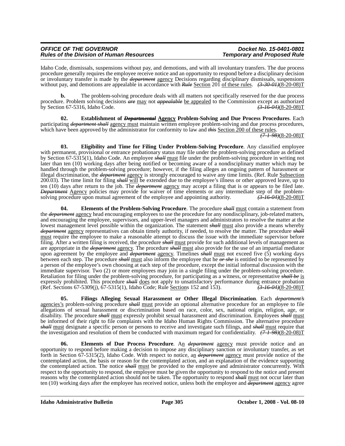| <b>OFFICE OF THE GOVERNOR</b>                   |  |
|-------------------------------------------------|--|
| <b>Rules of the Division of Human Resources</b> |  |

Idaho Code, dismissals, suspensions without pay, and demotions, and with all involuntary transfers. The due process procedure generally requires the employee receive notice and an opportunity to respond before a disciplinary decision or involuntary transfer is made by the *department* agency Decisions regarding disciplinary dismissals, suspensions without pay, and demotions are appealable in accordance with *Rule* Section 201 of these rules.  $(3-30-01)(8-20-08)T$ 

**b.** The problem-solving procedure deals with all matters not specifically reserved for the due process procedure. Problem solving decisions *are* may not *appealable* be appealed to the Commission except as authorized<br>by Section 67-5316, Idaho Code. by Section 67-5316, Idaho Code.

**02. Establishment of** *Departmental* **Agency Problem-Solving and Due Process Procedures**. Each participating *department shall* agency must maintain written employee problem-solving and due process procedures, which have been approved by the administrator for conformity to law and *this* Section 200 of these rules.

*(7-1-98)*(8-20-08)T

**03. Eligibility and Time for Filing Under Problem-Solving Procedure**. Any classified employee with permanent, provisional or entrance probationary status may file under the problem-solving procedure as defined by Section 67-5315(1), Idaho Code. An employee *shall* must file under the problem-solving procedure in writing not later than ten (10) working days after being notified or becoming aware of a nondisciplinary matter which may be handled through the problem-solving procedure; however, if the filing alleges an ongoing pattern of harassment or illegal discrimination, the *department* agency is strongly encouraged to waive any time limits. (Ref. Rule Subsection 200.03). The time limit for filing *shall* will be extended due to the employee's illness or other approved leave, up to ten (10) days after return to the job. The *department* agency may accept a filing that is or appears to be filed late. *Department* Agency policies may provide for waiver of time elements or any intermediate step of the problemsolving procedure upon mutual agreement of the employee and appointing authority. *(3-16-04)*(8-20-08)T

**04. Elements of the Problem-Solving Procedure**. The procedure *shall* must contain a statement from the *department* agency head encouraging employees to use the procedure for any nondisciplinary, job-related matters, and encouraging the employee, supervisors, and upper-level managers and administrators to resolve the matter at the lowest management level possible within the organization. The statement *shall* must also provide a means whereby *department* agency representatives can obtain timely authority, if needed, to resolve the matter. The procedure *shall* must require the employee to make a reasonable attempt to discuss the issue with the immediate supervisor before filing. After a written filing is received, the procedure *shall* must provide for such additional levels of management as are appropriate in the *department* agency. The procedure *shall* must also provide for the use of an impartial mediator upon agreement by the employee and *department* agency. Timelines *shall* must not exceed five (5) working days between each step. The procedure *shall* must also inform the employee that he *or she* is entitled to be represented by a person of the employee's own choosing at each step of the procedure, except the initial informal discussion with the immediate supervisor. Two (2) or more employees may join in a single filing under the problem-solving procedure. Retaliation for filing under the problem-solving procedure, for participating as a witness, or representative *shall be* is expressly prohibited. This procedure *shall* does not apply to unsatisfactory performance during entrance probation (Ref. Sections 67-5309(j), 67-5315(1), Idaho Code; Rule Sections 152 and 153).  $\left(3\text{-}16\text{-}04\text{/}(8\text{-}2$ (Ref. Sections 67-5309(j), 67-5315(1), Idaho Code; Rule Sections 152 and 153).

**05. Filings Alleging Sexual Harassment or Other Illegal Discrimination**. Each *department's* agencies's problem-solving procedure *shall* must provide an optional alternative procedure for an employee to file allegations of sexual harassment or discrimination based on race, color, sex, national origin, religion, age, or disability. The procedure *shall* must expressly prohibit sexual harassment and discrimination. Employees *shall* must be informed of their right to file complaints with the Idaho Human Rights Commission. The alternative procedure *shall* must designate a specific person or persons to receive and investigate such filings, and *shall* must require that the investigation and resolution of them be conducted with maximum regard for confidentiality. *(7-1-98)*(8-20-08)T

**Elements of Due Process Procedure**. An *department* agency must provide notice and an opportunity to respond before making a decision to impose any disciplinary sanction or involuntary transfer, as set forth in Section 67-5315(2), Idaho Code. With respect to notice, an *department* agency must provide notice of the contemplated action, the basis or reason for the contemplated action, and an explanation of the evidence supporting the contemplated action. The notice *shall* must be provided to the employee and administrator concurrently. With respect to the opportunity to respond, the employee must be given the opportunity to respond to the notice and present reasons why the contemplated action should not be taken. The opportunity to respond *shall* must not occur later than ten (10) working days after the employee has received notice, unless both the employee and *department* agency agree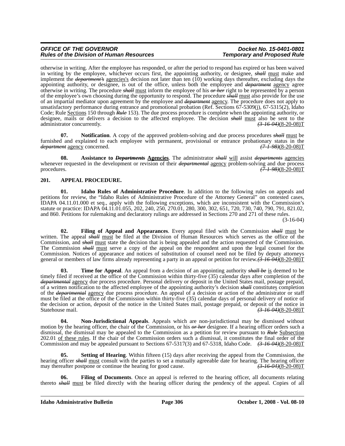# *OFFICE OF THE GOVERNOR*<br>Rules of the Division of Human Resources **Docket No. 15-0401-0801**<br>Temporary and Proposed Rule *Rules of the Division of Human Resources*

otherwise in writing. After the employee has responded, or after the period to respond has expired or has been waived in writing by the employee, whichever occurs first, the appointing authority, or designee, *shall* must make and implement the *department's* agencies's decision not later than ten (10) working days thereafter, excluding days the appointing authority, or designee, is out of the office, unless both the employee and *department* agency agree otherwise in writing. The procedure *shall* must inform the employee of his *or her* right to be represented by a person of the employee's own choosing during the opportunity to respond. The procedure *shall* must also provide for the use of an impartial mediator upon agreement by the employee and *department* agency. The procedure does not apply to unsatisfactory performance during entrance and promotional probation (Ref. Sections 67-5309(j), 67-5315(2), Idaho Code; Rule Sections 150 through *Rule* 153). The due process procedure is complete when the appointing authority, or designee, mails or delivers a decision to the affected employee. The decision  $\frac{shall}{must}$  also be sent to the administrator concurrently.  $administrator$  concurrently.

**07. Notification**. A copy of the approved problem-solving and due process procedures *shall* must be furnished and explained to each employee with permanent, provisional or entrance probationary status in the *department* agency concerned. *(7-1-98)*(8-20-08)T

**08. Assistance to** *Departments* **Agencies**. The administrator *shall* will assist *departments* agencies whenever requested in the development or revision of their *departmental* agency problem-solving and due process procedures. *(7-1-98)*(8-20-08)T

# **201. APPEAL PROCEDURE.**

**01. Idaho Rules of Administrative Procedure**. In addition to the following rules on appeals and petitions for review, the "Idaho Rules of Administrative Procedure of the Attorney General" on contested cases, IDAPA 04.11.01.000 et seq., apply with the following exceptions, which are inconsistent with the Commission's statute or practice: IDAPA 04.11.01.055, 202, 240, 250, 270.01, 280, 300, 302, 651, 720, 730, 740, 790, 791, 821.02, and 860. Petitions for rulemaking and declaratory rulings are addressed in Sections 270 and 271 of these rules. (3-16-04)

**02. Filing of Appeal and Appearances**. Every appeal filed with the Commission *shall* must be written. The appeal *shall* must be filed at the Division of Human Resources which serves as the office of the Commission, and *shall* must state the decision that is being appealed and the action requested of the Commission. The Commission *shall* must serve a copy of the appeal on the respondent and upon the legal counsel for the Commission. Notices of appearance and notices of substitution of counsel need not be filed by deputy attorneys general or members of law firms already representing a party in an appeal or petition for review.*(3-16-04)*(8-20-08)T

**Time for Appeal.** An appeal from a decision of an appointing authority *shall be* is deemed to be timely filed if received at the office of the Commission within thirty-five (35) calendar days after completion of the *departmental* agency due process procedure. Personal delivery or deposit in the United States mail, postage prepaid, of a written notification to the affected employee of the appointing authority's decision *shall* constitutes completion of the *departmental* agency due process procedure. An appeal of a decision or action of the administrator or staff must be filed at the office of the Commission within thirty-five (35) calendar days of personal delivery of notice of the decision or action, deposit of the notice in the United States mail, postage prepaid, or deposit of the notice in Statehouse mail.  $(3.16 \text{ } 0.4)(8.20 \text{ } 0.08)$ T  $\left(3\right. 16\left. 04\right)$ (8-20-08)T

**04. Non-Jurisdictional Appeals**. Appeals which are non-jurisdictional may be dismissed without motion by the hearing officer, the chair of the Commission, or his *or her* designee. If a hearing officer orders such a dismissal, the dismissal may be appealed to the Commission as a petition for review pursuant to *Rule* Subsection 202.01 of these rules. If the chair of the Commission orders such a dismissal, it constitutes the final order of the Commission and may be appealed pursuant to Sections 67-5317(3) and 67-5318, Idaho Code. *(3-16-04)*(8-20-08)T

**Setting of Hearing**. Within fifteen (15) days after receiving the appeal from the Commission, the hearing officer *shall* must consult with the parties to set a mutually agreeable date for hearing. The hearing officer may thereafter postpone or continue the hearing for good cause.  $\left(\frac{3-16-04}{8-20-08}\right)T$ may thereafter postpone or continue the hearing for good cause.

**06. Filing of Documents**. Once an appeal is referred to the hearing officer, all documents relating thereto *shall* must be filed directly with the hearing officer during the pendency of the appeal. Copies of all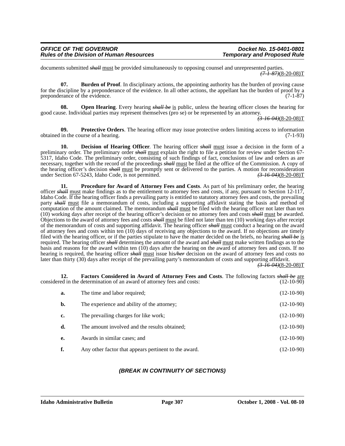| <b>OFFICE OF THE GOVERNOR</b>                   | Docket No. 15-0401-0801            |
|-------------------------------------------------|------------------------------------|
| <b>Rules of the Division of Human Resources</b> | <b>Temporary and Proposed Rule</b> |

documents submitted *shall* must be provided simultaneously to opposing counsel and unrepresented parties. *(7-1-87)*(8-20-08)T

**07. Burden of Proof**. In disciplinary actions, the appointing authority has the burden of proving cause for the discipline by a preponderance of the evidence. In all other actions, the appellant has the burden of proof by a preponderance of the evidence. (7-1-87)

**08. Open Hearing**. Every hearing *shall be* is public, unless the hearing officer closes the hearing for good cause. Individual parties may represent themselves (pro se) or be represented by an attorney.

*(3-16-04)*(8-20-08)T

**09.** Protective Orders. The hearing officer may issue protective orders limiting access to information in the course of a hearing. (7-1-93) obtained in the course of a hearing.

**10. Decision of Hearing Officer**. The hearing officer *shall* must issue a decision in the form of a preliminary order. The preliminary order *shall* must explain the right to file a petition for review under Section 67- 5317, Idaho Code. The preliminary order, consisting of such findings of fact, conclusions of law and orders as are necessary, together with the record of the proceedings *shall* must be filed at the office of the Commission. A copy of the hearing officer's decision *shall* must be promptly sent or delivered to the parties. A motion for reconsideration under Section 67-5243, Idaho Code, is not permitted.  $\left(3.1604\right)(8-20-08)$ T under Section 67-5243, Idaho Code, is not permitted.

**11. Procedure for Award of Attorney Fees and Costs**. As part of his preliminary order, the hearing officer *shall* must make findings as to the entitlement to attorney fees and costs, if any, pursuant to Section 12-117, Idaho Code. If the hearing officer finds a prevailing party is entitled to statutory attorney fees and costs, the prevailing party *shall* must file a memorandum of costs, including a supporting affidavit stating the basis and method of computation of the amount claimed. The memorandum *shall* must be filed with the hearing officer not later than ten (10) working days after receipt of the hearing officer's decision or no attorney fees and costs *shall* must be awarded. Objections to the award of attorney fees and costs *shall* must be filed not later than ten (10) working days after receipt of the memorandum of costs and supporting affidavit. The hearing officer *shall* must conduct a hearing on the award of attorney fees and costs within ten (10) days of receiving any objections to the award. If no objections are timely filed with the hearing officer, or if the parties stipulate to have the matter decided on the briefs, no hearing *shall be* is required. The hearing officer *shall* determines the amount of the award and *shall* must make written findings as to the basis and reasons for the award within ten (10) days after the hearing on the award of attorney fees and costs. If no hearing is required, the hearing officer *shall* must issue his*/her* decision on the award of attorney fees and costs no later than thirty (30) days after receipt of the prevailing party's memorandum of costs and supporting affidavit.

*(3-16-04)*(8-20-08)T

**12. Factors Considered in Award of Attorney Fees and Costs**. The following factors *shall be* are considered in the determination of an award of attorney fees and costs: (12-10-90)

| a. | The time and labor required;                          | $(12-10-90)$ |
|----|-------------------------------------------------------|--------------|
| b. | The experience and ability of the attorney;           | $(12-10-90)$ |
| c. | The prevailing charges for like work;                 | $(12-10-90)$ |
| d. | The amount involved and the results obtained;         | $(12-10-90)$ |
| e. | Awards in similar cases; and                          | $(12-10-90)$ |
| f. | Any other factor that appears pertinent to the award. | $(12-10-90)$ |

# *(BREAK IN CONTINUITY OF SECTIONS)*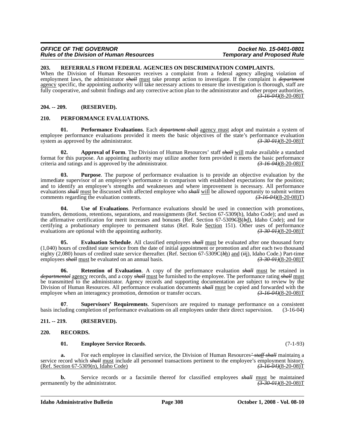#### *OFFICE OF THE GOVERNOR*<br>Rules of the Division of Human Resources **Docket No. 15-0401-0801**<br>Temporary and Proposed Rule *Rules of the Division of Human Resources*

#### **203. REFERRALS FROM FEDERAL AGENCIES ON DISCRIMINATION COMPLAINTS.**

When the Division of Human Resources receives a complaint from a federal agency alleging violation of employment laws, the administrator *shall* must take prompt action to investigate. If the complaint is *department* agency specific, the appointing authority will take necessary actions to ensure the investigation is thorough, staff are fully cooperative, and submit findings and any corrective action plan to the administrator and other proper authorities. *(3-16-04)*(8-20-08)T

# **204. -- 209. (RESERVED).**

#### **210. PERFORMANCE EVALUATIONS.**

**01. Performance Evaluations**. Each *department shall* agency must adopt and maintain a system of employee performance evaluations provided it meets the basic objectives of the state's performance evaluation system as approved by the administrator. *(3-30-01)*(8-20-08)T

**02. Approval of Form**. The Division of Human Resources' staff *shall* will make available a standard format for this purpose. An appointing authority may utilize another form provided it meets the basic performance criteria and ratings and is approved by the administrator.  $\left(3\text{-}16\text{-}04\right)\left(8\text{-}20\text{-}08\right)T$ criteria and ratings and is approved by the administrator.

**03. Purpose**. The purpose of performance evaluation is to provide an objective evaluation by the immediate supervisor of an employee's performance in comparison with established expectations for the position; and to identify an employee's strengths and weaknesses and where improvement is necessary. All performance evaluations *shall* must be discussed with affected employee who *shall* will be allowed opportunity to submit written comments regarding the evaluation contents. *(3-16-04)*(8-20-08)T)

**04. Use of Evaluations**. Performance evaluations should be used in connection with promotions, transfers, demotions, retentions, separations, and reassignments (Ref. Section 67-5309(h), Idaho Code); and used as the affirmative certification for merit increases and bonuses (Ref. Section 67-5309*C*B(*b*d), Idaho Code); and for certifying a probationary employee to permanent status (Ref. Rule Section 151). Other uses of performance evaluations are optional with the appointing authority. evaluations are optional with the appointing authority.

**05. Evaluation Schedule**. All classified employees *shall* must be evaluated after one thousand forty (1,040) hours of credited state service from the date of initial appointment or promotion and after each two thousand eighty (2,080) hours of credited state service thereafter. (Ref. Section 67-5309C( $\theta$ h) and (*ii*j), Idaho Code.) Part-time employees *shall* must be evaluated on an annual basis. (3.30.01/(3.20-08)T employees *shall* must be evaluated on an annual basis.

**06. Retention of Evaluation**. A copy of the performance evaluation *shall* must be retained in *departmental* agency records, and a copy *shall* must be furnished to the employee. The performance rating *shall* must be transmitted to the administrator. Agency records and supporting documentation are subject to review by the Division of Human Resources. All performance evaluation documents *shall* must be copied and forwarded with the employee when an interagency promotion, demotion or transfer occurs.  $\left(3\right)$   $\left(3\right)$   $\left(3\right)$   $\left(4\right)$  employee when an interagency promotion, demotion or transfer occurs.

**07**. **Supervisors' Requirements**. Supervisors are required to manage performance on a consistent basis including completion of performance evaluations on all employees under their direct supervision. (3-16-04)

# **211. -- 219. (RESERVED).**

#### **220. RECORDS.**

#### **01. Employee Service Records**. (7-1-93)

**a.** For each employee in classified service, the Division of Human Resources*' staff shall* maintains a service record which *shall* must include all personnel transactions pertinent to the employee's employment history.<br>(Ref. Section 67-5309(n), Idaho Code)<br>(3-16-04)(8-20-08) (Ref. Section 67-5309(n), Idaho Code)

**b.** Service records or a facsimile thereof for classified employees *shall* must be maintained permanently by the administrator.  $(3-30-0)+(3-30-0)+(3-20-0)(8-20-0)(8-20-0)$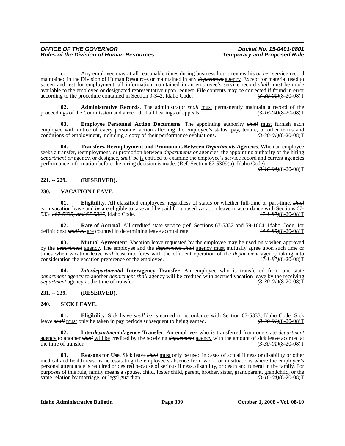**c.** Any employee may at all reasonable times during business hours review his *or her* service record maintained in the Division of Human Resources or maintained in any *department* agency. Except for material used to screen and test for employment, all information maintained in an employee's service record *shall* must be made available to the employee or designated representative upon request. File contents may be corrected if found in error according to the procedure contained in Section 9-342, Idaho Code. *(3-30-01)*(8-20-08)T

**02. Administrative Records**. The administrator *shall* must permanently maintain a record of the proceedings of the Commission and a record of all hearings of appeals. *(3-16-04)*(8-20-08)T

**03. Employee Personnel Action Documents**. The appointing authority *shall* must furnish each employee with notice of every personnel action affecting the employee's status, pay, tenure, or other terms and conditions of employment, including a copy of their performance evaluations.  $\left(3\text{-}30\text{-}04\right)(8-20-08)T$ conditions of employment, including a copy of their performance evaluations.

**04. Transfers, Reemployment and Promotions Between** *Departments* **Agencies**. When an employee seeks a transfer, reemployment, or promotion between *departments or* agencies, the appointing authority of the hiring *department or* agency, or designee, *shall be* is entitled to examine the employee's service record and current agencies performance information before the hiring decision is made. (Ref. Section 67-5309(o), Idaho Code)

*(3-16-04)*(8-20-08)T

# **221. -- 229. (RESERVED).**

#### **230. VACATION LEAVE.**

**01.** Eligibility. All classified employees, regardless of status or whether full-time or part-time, *shall* earn vacation leave and *be* <u>are</u> eligible to take and be paid for unused vacation leave in accordance with Sections 67-<br>5334, 67-5335, and 67-5337, Idaho Code. 5334, 67-5335, and 67-5337, Idaho Code.

**02. Rate of Accrual**. All credited state service (ref. Sections 67-5332 and 59-1604, Idaho Code, for definitions) *shall be* are counted in determining leave accrual rate. *(4-5-85)*(8-20-08)T

**03. Mutual Agreement**. Vacation leave requested by the employee may be used only when approved by the *department* agency. The employee and the *department shall* agency must mutually agree upon such time or times when vacation leave *will* least interferes with the efficient operation of the *department* agency taking into consideration the vacation preference of the employee.<br>
(7.1.87)(8-20-08)T consideration the vacation preference of the employee.

**04.** *Interdepartmental* **Interagency Transfer**. An employee who is transferred from one state *department* agency to another *department shall* agency will be credited with accrued vacation leave by the receiving *department* agency at the time of transfer. *(3-30-01)*(8-20-08)T

# **231. -- 239. (RESERVED).**

#### **240. SICK LEAVE.**

**01. Eligibility**. Sick leave *shall be* is earned in accordance with Section 67-5333, Idaho Code. Sick *HH* must only be taken in pay periods subsequent to being earned.  $\left(\frac{3-30-01}{8-30-01}\right)$  (8-20-08) leave *shall* must only be taken in pay periods subsequent to being earned.

**Inter<del>departmental</del><u>agency</u>** Transfer. An employee who is transferred from one state *department* agency to another *shall* will be credited by the receiving *department* agency with the amount of sick leave accrued at the time of transfer. (3.30.04)(8-20-08)  $(3-30-01)(8-20-08)T$ 

**03. Reasons for Use**. Sick leave *shall* must only be used in cases of actual illness or disability or other medical and health reasons necessitating the employee's absence from work, or in situations where the employee's personal attendance is required or desired because of serious illness, disability, or death and funeral in the family. For purposes of this rule, family means a spouse, child, foster child, parent, brother, sister, grandparent, grandchild, or the same relation by marriage, or legal guardian.  $\left(3\right)$   $\left(3\right)$   $\left(3\right)$   $\left(3\right)$   $\left(4\right)$  same relation by marriage, or legal guardian.

**Idaho Administrative Bulletin Page 309 October 1, 2008 - Vol. 08-10**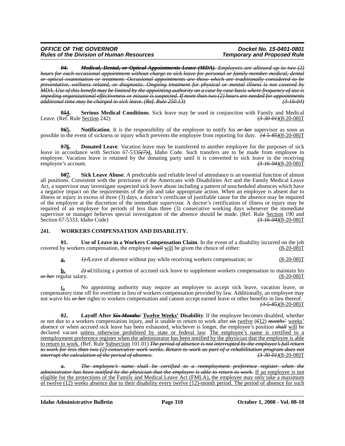#### *OFFICE OF THE GOVERNOR*<br>Rules of the Division of Human Resources **Docket No. 15-0401-0801**<br>Temporary and Proposed Rule *Rules of the Division of Human Resources*

*04. Medical, Dental, or Optical Appointments Leave (MDA). Employees are allowed up to two (2) hours for each occasional appointment without charge to sick leave for personal or family-member medical, dental or optical examination or treatment. Occasional appointments are those which are traditionally considered to be preventative, wellness related, or diagnostic. Ongoing treatment for physical or mental illness is not covered by MDA. Use of this benefit may be limited by the appointing authority on a case by case basis where frequency of use is impeding organizational effectiveness or misuse is suspected. If more than two (2) hours are needed for appointments additional time may be charged to sick leave. (Ref. Rule 250.13) (3-16-04)*

**0***5***4. Serious Medical Conditions**. Sick leave may be used in conjunction with Family and Medical Leave. (Ref. Rule Section 242) *(3-30-01)*(8-20-08)T

**0***6***5. Notification**. It is the responsibility of the employee to notify his *or her* supervisor as soon as possible in the event of sickness or injury which prevents the employee from reporting for duty. *(4-5-85)*(8-20-08)T

**076.** Donated Leave. Vacation leave may be transferred to another employee for the purposes of sick leave in accordance with Section 67-533*5(7)*4, Idaho Code. Such transfers are to be made from employee to employee. Vacation leave is retained by the donating party until it is converted to sick leave in the receiving employee's account. *(3-16-04)*(8-20-08)T

**0***8***7. Sick Leave Abuse**. A predictable and reliable level of attendance is an essential function of almost all positions. Consistent with the provisions of the Americans with Disabilities Act and the Family Medical Leave Act, a supervisor may investigate suspected sick leave abuse including a pattern of unscheduled absences which have a negative impact on the requirements of the job and take appropriate action. When an employee is absent due to illness or injury in excess of three (3) days, a doctor's certificate of justifiable cause for the absence may be required of the employee at the discretion of the immediate supervisor. A doctor's certification of illness or injury may be required of an employee for periods of less than three (3) consecutive working days whenever the immediate supervisor or manager believes special investigation of the absence should be made. (Ref. Rule Section 190 and Section 67-5333, Idaho Code)  $\left(3-16-04\right)\left(8-20-08\right)T$ Section 67-5333, Idaho Code)

# **241. WORKERS COMPENSATION AND DISABILITY.**

**01. Use of Leave in a Workers Compensation Claim**. In the event of a disability incurred on the job covered by workers compensation, the employee *shall* will be given the choice of either: (8-20-08)T

**a.** *1) l*Leave of absence without pay while receiving workers compensation; or (8-20-08)T

**b.**  $\frac{2}{\mu}$ Utilizing a portion of accrued sick leave to supplement workers compensation to maintain his *or her* regular salary. (8-20-08)T

**c.** No appointing authority may require an employee to accept sick leave, vacation leave, or compensatory time off for overtime in lieu of workers compensation provided by law. Additionally, an employee may not waive his *or her* rights to workers compensation and cannot accept earned leave or other benefits in lieu thereof. *(4-5-85)*(8-20-08)T

**02. Layoff After** *Six Months'* **Twelve Weeks' Disability**. If the employee becomes disabled, whether or not due to a workers compensation injury, and is unable to return to work after *six* twelve (*6*12) *months'* weeks' absence or when accrued sick leave has been exhausted, whichever is longer, the employee's position *shall* will be declared vacant unless otherwise prohibited by state or federal law. The employee's name is certified to a reemployment preference register when the administrator has been notified by the physician that the employee is able to return to work. (Ref. Rule Subsection 101.01) *The period of absence is not interrupted by the employee's full return to work for less than two (2) consecutive work weeks. Return to work as part of a rehabilitation program does not interrupt the calculation of the period of absence.* 

**a.** *The employee's name shall be certified to a reemployment preference register when the administrator has been notified by the physician that the employee is able to return to work.* If an employee is not eligible for the protections of the Family and Medical Leave Act (FMLA), the employee may only take a maximum of twelve (12) weeks absence due to their disability every twelve (12)-month period. The period of absence for such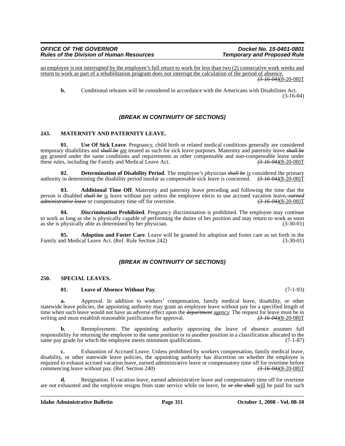an employee is not interrupted by the employee's full return to work for less than two (2) consecutive work weeks and return to work as part of a rehabilitation program does not interrupt the calculation of the period of absence.

*(3-16-04)*(8-20-08)T

**b.** Conditional releases will be considered in accordance with the Americans with Disabilities Act. (3-16-04)

# *(BREAK IN CONTINUITY OF SECTIONS)*

# **243. MATERNITY AND PATERNITY LEAVE.**

**01. Use Of Sick Leave**. Pregnancy, child birth or related medical conditions generally are considered temporary disabilities and *shall be* are treated as such for sick leave purposes. Maternity and paternity leave *shall be* are granted under the same conditions and requirements as other compensable and non-compensable leave under these rules, including the Family and Medical Leave Act.  $(3-16-04)(8-20-08)T$ 

**02. Determination of Disability Period**. The employee's physician *shall be* is considered the primary authority in determining the disability period insofar as compensable sick leave is concerned. *(3-16-04)*(8-20-08)T

**03. Additional Time Off**. Maternity and paternity leave preceding and following the time that the person is disabled *shall be* is leave without pay unless the employee elects to use accrued vacation leave, earned administrative leave or compensatory time off for overtime. *administrative leave* or compensatory time off for overtime.

**Discrimination Prohibited**. Pregnancy discrimination is prohibited. The employee may continue to work as long as she is physically capable of performing the duties of her position and may return to work as soon as she is physically able as determined by her physician. (3-30-01)

**05. Adoption and Foster Care**. Leave will be granted for adoption and foster care as set forth in the nd Medical Leave Act. (Ref. Rule Section 242) (3-30-01) Family and Medical Leave Act. (Ref. Rule Section 242)

# *(BREAK IN CONTINUITY OF SECTIONS)*

#### **250. SPECIAL LEAVES.**

#### **01. Leave of Absence Without Pay**. (7-1-93)

**a.** Approval. In addition to workers' compensation, family medical leave, disability, or other statewide leave policies, the appointing authority may grant an employee leave without pay for a specified length of time when such leave would not have an adverse effect upon the *department* agency. The request for leave must be in writing and must establish reasonable justification for approval.  $(3-16-04)(8-20-08)T$ writing and must establish reasonable justification for approval.

**b.** Reemployment. The appointing authority approving the leave of absence assumes full responsibility for returning the employee to the same position or to another position in a classification allocated to the same pay grade for which the employee meets minimum qualifications. (7-1-87)

**c.** Exhaustion of Accrued Leave. Unless prohibited by workers compensation, family medical leave, disability, or other statewide leave policies, the appointing authority has discretion on whether the employee is required to exhaust accrued vacation leave, earned administrative leave or compensatory time off for overtime before<br>commencing leave without pay. (Ref. Section 240)  $\left(3-16-04\right)\left(8-20-08\right)T$ commencing leave without pay. (Ref. Section 240)

**d.** Resignation. If vacation leave, earned administrative leave and compensatory time off for overtime are not exhausted and the employee resigns from state service while on leave, he *or she shall* will be paid for such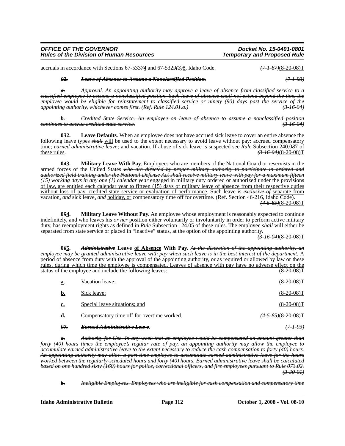| <b>OFFICE OF THE GOVERNOR</b>                   | Docket No. 15-0401-0801            |
|-------------------------------------------------|------------------------------------|
| <b>Rules of the Division of Human Resources</b> | <b>Temporary and Proposed Rule</b> |

accruals in accordance with Sections 67-533*7*4 and 67-532*9(3)*8, Idaho Code. *(7-1-87)*(8-20-08)T

# *02. Leave of Absence to Assume a Nonclassified Position. (7-1-93)*

*a. Approval. An appointing authority may approve a leave of absence from classified service to a classified employee to assume a nonclassified position. Such leave of absence shall not extend beyond the time the employee would be eligible for reinstatement to classified service or ninety (90) days past the service of the appointing authority, whichever comes first. (Ref. Rule 124.01.a.) (3-16-04)*

*b. Credited State Service. An employee on leave of absence to assume a nonclassified position continues to accrue credited state service. (3-16-04)*

**0***3***2. Leave Defaults**. When an employee does not have accrued sick leave to cover an entire absence the following leave types *shall* will be used to the extent necessary to avoid leave without pay: accrued compensatory time*; earned administrative leave;* and vacation. If abuse of sick leave is suspected see *Rule* Subsection 240.0*8*7 of these rules. *(3-16-04)*(8-20-08)T

**0***4***3. Military Leave With Pay**. Employees who are members of the National Guard or reservists in the armed forces of the United States *who are directed by proper military authority to participate in ordered and authorized field training under the National Defense Act shall receive military leave with pay for a maximum fifteen (15) working days in any one (1) calendar year* engaged in military duty ordered or authorized under the provisions of law, are entitled each calendar year to fifteen  $(15)$  days of military leave of absence from their respective duties without loss of pay, credited state service or evaluation of performance. Such leave is *exclusive of* separate from vacation, *and* sick leave, *and* holiday, or compensatory time off for overtime. (Ref. Section 46-216, Idaho Code). *(4-5-85)*(8-20-08)T

054. Military Leave Without Pay. An employee whose employment is reasonably expected to continue indefinitely, and who leaves his *or her* position either voluntarily or involuntarily in order to perform active military duty, has reemployment rights as defined in *Rule* Subsection 124.05 of these rules. The employee *shall* will either be separated from state service or placed in "inactive" status, at the option of the appointing authority.

 $\left(3 - 16 - 04\right)$ (8-20-08)T

**0***6***5.** *Administrative* **Leave of Absence With Pay**. *At the discretion of the appointing authority, an employee may be granted administrative leave with pay when such leave is in the best interest of the department.* A period of absence from duty with the approval of the appointing authority, or as required or allowed by law or these rules, during which time the employee is compensated. Leaves of absence with pay have no adverse effect on the status of the employee and include the following leaves: (8-20-08) (8-20-08) T

| <u>a</u> . | Vacation leave;                            | $(8-20-08)T$                  |
|------------|--------------------------------------------|-------------------------------|
| b.         | Sick leave;                                | $(8-20-08)T$                  |
| c.         | Special leave situations; and              | $(8-20-08)T$                  |
| <u>d.</u>  | Compensatory time off for overtime worked. | $(4 - 5 - 85)(8 - 20 - 08)$ T |
| 07.        | Egened Administrative Legne                | (7–1–93)                      |

*a. Authority for Use. In any week that an employee would be compensated an amount greater than forty (40) hours times the employee's regular rate of pay, an appointing authority may allow the employee to accumulate earned administrative leave to the extent necessary to reduce the cash compensation to forty (40) hours. An appointing authority may allow a part-time employee to accumulate earned administrative leave for the hours worked between the regularly-scheduled hours and forty (40) hours. Earned administrative leave shall be calculated based on one hundred sixty (160) hours for police, correctional officers, and fire employees pursuant to Rule 073.02. (3-30-01)*

*b. Ineligible Employees. Employees who are ineligible for cash compensation and compensatory time*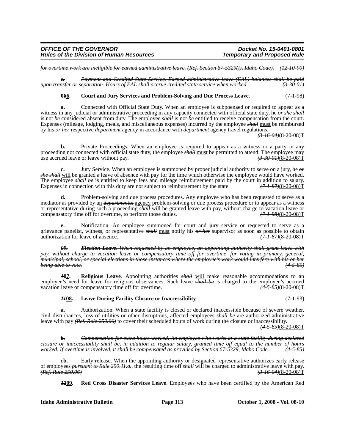*for overtime work are ineligible for earned administrative leave. (Ref. Section 67-5329(l), Idaho Code). (12-10-90)*

*c. Payment and Credited State Service. Earned administrative leave (EAL) balances shall be paid upon transfer or separation. Hours of EAL shall accrue credited state service when worked. (3-30-01)*

# **0***8***6. Court and Jury Services and Problem-Solving and Due Process Leave**. (7-1-98)

**a.** Connected with Official State Duty. When an employee is subpoenaed or required to appear as a witness in any judicial or administrative proceeding in any capacity connected with official state duty, he *or she shall* is not *be* considered absent from duty. The employee *shall* is not *be* entitled to receive compensation from the court. Expenses (mileage, lodging, meals, and miscellaneous expenses) incurred by the employee *shall* must be reimbursed by his *or her* respective *department* agency in accordance with *department* agency travel regulations.

*(3-16-04)*(8-20-08)T

**b.** Private Proceedings. When an employee is required to appear as a witness or a party in any proceeding not connected with official state duty, the employee *shall* must be permitted to attend. The employee may use accrued leave or leave without pay. use accrued leave or leave without pay.

**c.** Jury Service. When an employee is summoned by proper judicial authority to serve on a jury, he *or she shall* will be granted a leave of absence with pay for the time which otherwise the employee would have worked. The employee *shall be* is entitled to keep fees and mileage reimbursement paid by the court in addition to salary.<br>Expenses in connection with this duty are not subject to reimbursement by the state.  $(7-1-87)(8-20-08)T$ Expenses in connection with this duty are not subject to reimbursement by the state.

**d.** Problem-solving and due process procedures. Any employee who has been requested to serve as a mediator as provided by an *departmental* agency problem-solving or due process procedure or to appear as a witness or representative during such a proceeding *shall* will be granted leave with pay, without charge to vacation leave or compensatory time off for overtime, to perform those duties.  $(7-1-98)(8-20-08)T$ compensatory time off for overtime, to perform those duties.

**e.** Notification. An employee summoned for court and jury service or requested to serve as a grievance panelist, witness, or representative *shall* must notify his  $\theta r$  her supervisor as soon as possible to obtain authorization for leave of absence. authorization for leave of absence.

*09. Election Leave. When requested by an employee, an appointing authority shall grant leave with party charge to vacation leave or compensatory time off for overtime, for voting in primary, general, municipal, school, or special elections in those instances where the employee's work would interfere with his or her being able to vote. (4-5-85)*

*1***07. Religious Leave**. Appointing authorities *shall* will make reasonable accommodations to an employee's need for leave for religious observances. Such leave *shall be* is charged to the employee's accrued vacation leave or compensatory time off for overtime. (4-5-85)(8-20-08) vacation leave or compensatory time off for overtime.

#### *11***08. Leave During Facility Closure or Inaccessibility**. (7-1-93)

**a.** Authorization. When a state facility is closed or declared inaccessible because of severe weather, civil disturbances, loss of utilities or other disruptions, affected employees *shall be* are authorized administrative leave with pay *(Ref. Rule 250.06)* to cover their scheduled hours of work during the closure or inaccessibility.

*(4-5-85)*(8-20-08)T

*b. Compensation for extra hours worked. An employee who works at a state facility during declared closure or inaccessibility shall be, in addition to regular salary, granted time off equal to the number of hours worked. If overtime is involved, it shall be compensated as provided by Section 67-5329, Idaho Code. (4-5-85)*

*e***<u>b</u>.** Early release. When the appointing authority or designated representative authorizes early release of employees *pursuant to Rule 250.11.a.*, the resulting time off *shall* will be charged to administrative leave with pay.<br>(*Ref. Rule 250.06*) (3-16-04)(8-20-08) *(Ref. Rule 250.06) (3-16-04)*(8-20-08)T

*12***09. Red Cross Disaster Services Leave**. Employees who have been certified by the American Red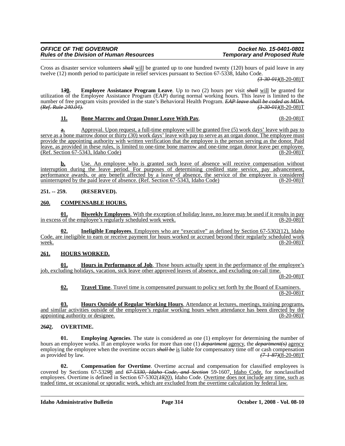| <i><b>OFFICE OF THE GOVERNOR</b></i>            |  |
|-------------------------------------------------|--|
| <b>Rules of the Division of Human Resources</b> |  |

Cross as disaster service volunteers *shall* will be granted up to one hundred twenty (120) hours of paid leave in any twelve (12) month period to participate in relief services pursuant to Section 67-5338, Idaho Code.

*(3-30-01)*(8-20-08)T

**1***3***0. Employee Assistance Program Leave**. Up to two (2) hours per visit *shall* will be granted for utilization of the Employee Assistance Program (EAP) during normal working hours. This leave is limited to the number of free program visits provided in the state's Behavioral Health Program. *EAP leave shall be coded as MDA.*<br>(*Ref. Rule 240.04*). (*3 30 04*)(8-20-08) *(Ref. Rule 240.04). (3-30-01)*(8-20-08)T

# **11. Bone Marrow and Organ Donor Leave With Pay.** (8-20-08) **F** (8-20-08) **T**

**a.** Approval. Upon request, a full-time employee will be granted five (5) work days' leave with pay to serve as a bone marrow donor or thirty (30) work days' leave with pay to serve as an organ donor. The employee must provide the appointing authority with written verification that the employee is the person serving as the donor. Paid leave, as provided in these rules, is limited to one-time bone marrow and one-time organ donor leave per employee.<br>(Ref. Section 67-5343, Idaho Code)  $(Ref. Section 67-5343, Idaho Code)$ 

**b.** Use. An employee who is granted such leave of absence will receive compensation without interruption during the leave period. For purposes of determining credited state service, pay advancement, performance awards, or any benefit affected by a leave of absence, the service of the employee is considered uninterrupted by the paid leave of absence. (Ref. Section 67-5343, Idaho Code) (8-20-08)T

**251. -- 259. (RESERVED).**

# **260. COMPENSABLE HOURS.**

**01. Biweekly Employees**. With the exception of holiday leave, no leave may be used if it results in pay in excess of the employee's regularly scheduled work week. employee's regularly scheduled work week.

**02. Ineligible Employees**. Employees who are "executive" as defined by Section 67-5302(12), Idaho Code, are ineligible to earn or receive payment for hours worked or accrued beyond their regularly scheduled work  $\frac{\text{week.}}{\text{week.}}$  (8-20-08)T

# **261. HOURS WORKED.**

**01. Hours in Performance of Job**. Those hours actually spent in the performance of the employee's job, excluding holidays, vacation, sick leave other approved leaves of absence, and excluding on-call time.

 $(8-20-08)T$ 

**02. Travel Time**. Travel time is compensated pursuant to policy set forth by the Board of Examiners.  $(8-20-08)T$ 

**03. Hours Outside of Regular Working Hours**. Attendance at lectures, meetings, training programs, and similar activities outside of the employee's regular working hours when attendance has been directed by the appointing authority or designee. appointing authority or designee.

# **26***0***2. OVERTIME.**

**01.** Employing Agencies. The state is considered as one (1) employer for determining the number of hours an employee works. If an employee works for more than one (1) *department* agency, the *department(s)* agency employing the employee when the overtime occurs *shall be* is liable for compensatory time off or cash compensation as provided by law. *(7-1-87)*(8-20-08)T

**02. Compensation for Overtime**. Overtime accrual and compensation for classified employees is covered by Sections 67-532*9*8 and *67-5330, Idaho Code, and Section* 59-1607, Idaho Code, for nonclassified employees. Overtime is defined in Section 67-5302(*19*20), Idaho Code. Overtime does not include any time, such as traded time, or occasional or sporadic work, which are excluded from the overtime calculation by federal law.